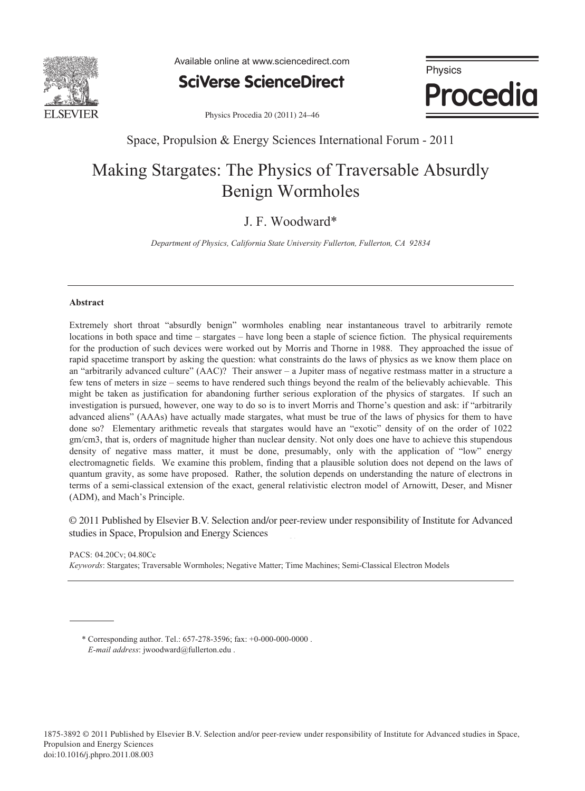

Available online at www.sciencedirect.com

**SciVerse ScienceDirect** 

Physics Procedia 20 (2011) 24–46

Physics **Procedia** 

Space, Propulsion & Energy Sciences International Forum - 2011

# Making Stargates: The Physics of Traversable Absurdly Benign Wormholes

# J. F. Woodward\*

*Department of Physics, California State University Fullerton, Fullerton, CA 92834* 

# **Abstract**

Extremely short throat "absurdly benign" wormholes enabling near instantaneous travel to arbitrarily remote locations in both space and time – stargates – have long been a staple of science fiction. The physical requirements for the production of such devices were worked out by Morris and Thorne in 1988. They approached the issue of rapid spacetime transport by asking the question: what constraints do the laws of physics as we know them place on an "arbitrarily advanced culture" (AAC)? Their answer – a Jupiter mass of negative restmass matter in a structure a few tens of meters in size – seems to have rendered such things beyond the realm of the believably achievable. This might be taken as justification for abandoning further serious exploration of the physics of stargates. If such an investigation is pursued, however, one way to do so is to invert Morris and Thorne's question and ask: if "arbitrarily advanced aliens" (AAAs) have actually made stargates, what must be true of the laws of physics for them to have done so? Elementary arithmetic reveals that stargates would have an "exotic" density of on the order of 1022 gm/cm3, that is, orders of magnitude higher than nuclear density. Not only does one have to achieve this stupendous density of negative mass matter, it must be done, presumably, only with the application of "low" energy electromagnetic fields. We examine this problem, finding that a plausible solution does not depend on the laws of quantum gravity, as some have proposed. Rather, the solution depends on understanding the nature of electrons in terms of a semi-classical extension of the exact, general relativistic electron model of Arnowitt, Deser, and Misner (ADM), and Mach's Principle.

© 2011 Published by Elsevier B.V. Selection and/or peer-review under responsibility of Institute for Advanced studies in Space, Propulsion and Energy Sciences studies in Space, Propulsion and Energy Sciences

PACS: 04.20Cv; 04.80Cc *Keywords*: Stargates; Traversable Wormholes; Negative Matter; Time Machines; Semi-Classical Electron Models

\* Corresponding author. Tel.: 657-278-3596; fax: +0-000-000-0000 . *E-mail address*: jwoodward@fullerton.edu .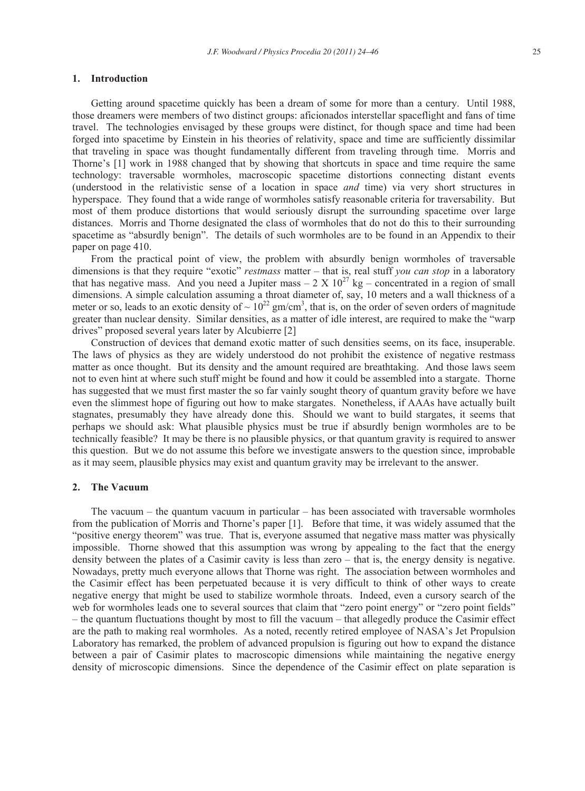#### **1. Introduction**

 Getting around spacetime quickly has been a dream of some for more than a century. Until 1988, those dreamers were members of two distinct groups: aficionados interstellar spaceflight and fans of time travel. The technologies envisaged by these groups were distinct, for though space and time had been forged into spacetime by Einstein in his theories of relativity, space and time are sufficiently dissimilar that traveling in space was thought fundamentally different from traveling through time. Morris and Thorne's [1] work in 1988 changed that by showing that shortcuts in space and time require the same technology: traversable wormholes, macroscopic spacetime distortions connecting distant events (understood in the relativistic sense of a location in space *and* time) via very short structures in hyperspace. They found that a wide range of wormholes satisfy reasonable criteria for traversability. But most of them produce distortions that would seriously disrupt the surrounding spacetime over large distances. Morris and Thorne designated the class of wormholes that do not do this to their surrounding spacetime as "absurdly benign". The details of such wormholes are to be found in an Appendix to their paper on page 410.

 From the practical point of view, the problem with absurdly benign wormholes of traversable dimensions is that they require "exotic" *restmass* matter – that is, real stuff *you can stop* in a laboratory that has negative mass. And you need a Jupiter mass  $- 2 \times 10^{27}$  kg – concentrated in a region of small dimensions. A simple calculation assuming a throat diameter of, say, 10 meters and a wall thickness of a meter or so, leads to an exotic density of  $\sim 10^{22}$  gm/cm<sup>3</sup>, that is, on the order of seven orders of magnitude greater than nuclear density. Similar densities, as a matter of idle interest, are required to make the "warp drives" proposed several years later by Alcubierre [2]

 Construction of devices that demand exotic matter of such densities seems, on its face, insuperable. The laws of physics as they are widely understood do not prohibit the existence of negative restmass matter as once thought. But its density and the amount required are breathtaking. And those laws seem not to even hint at where such stuff might be found and how it could be assembled into a stargate. Thorne has suggested that we must first master the so far vainly sought theory of quantum gravity before we have even the slimmest hope of figuring out how to make stargates. Nonetheless, if AAAs have actually built stagnates, presumably they have already done this. Should we want to build stargates, it seems that perhaps we should ask: What plausible physics must be true if absurdly benign wormholes are to be technically feasible? It may be there is no plausible physics, or that quantum gravity is required to answer this question. But we do not assume this before we investigate answers to the question since, improbable as it may seem, plausible physics may exist and quantum gravity may be irrelevant to the answer.

#### **2. The Vacuum**

 The vacuum – the quantum vacuum in particular – has been associated with traversable wormholes from the publication of Morris and Thorne's paper [1]. Before that time, it was widely assumed that the "positive energy theorem" was true. That is, everyone assumed that negative mass matter was physically impossible. Thorne showed that this assumption was wrong by appealing to the fact that the energy density between the plates of a Casimir cavity is less than zero – that is, the energy density is negative. Nowadays, pretty much everyone allows that Thorne was right. The association between wormholes and the Casimir effect has been perpetuated because it is very difficult to think of other ways to create negative energy that might be used to stabilize wormhole throats. Indeed, even a cursory search of the web for wormholes leads one to several sources that claim that "zero point energy" or "zero point fields" – the quantum fluctuations thought by most to fill the vacuum – that allegedly produce the Casimir effect are the path to making real wormholes. As a noted, recently retired employee of NASA's Jet Propulsion Laboratory has remarked, the problem of advanced propulsion is figuring out how to expand the distance between a pair of Casimir plates to macroscopic dimensions while maintaining the negative energy density of microscopic dimensions. Since the dependence of the Casimir effect on plate separation is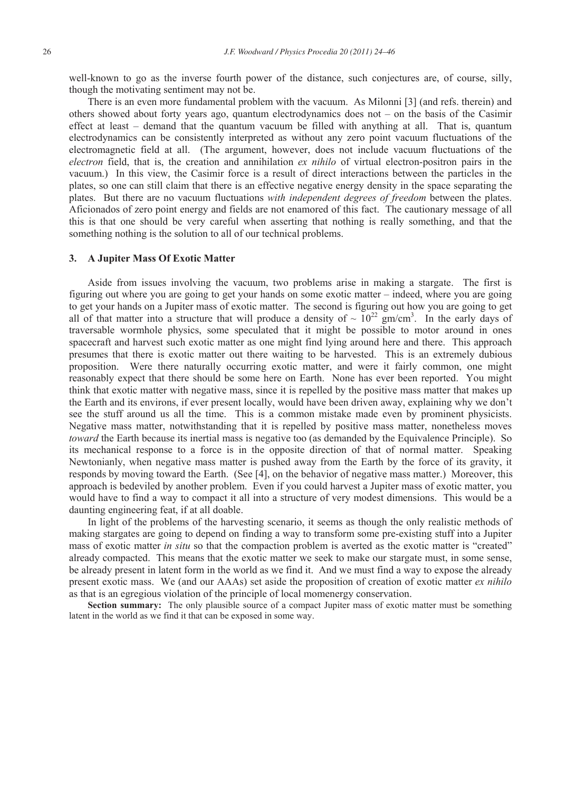well-known to go as the inverse fourth power of the distance, such conjectures are, of course, silly, though the motivating sentiment may not be.

 There is an even more fundamental problem with the vacuum. As Milonni [3] (and refs. therein) and others showed about forty years ago, quantum electrodynamics does not – on the basis of the Casimir effect at least – demand that the quantum vacuum be filled with anything at all. That is, quantum electrodynamics can be consistently interpreted as without any zero point vacuum fluctuations of the electromagnetic field at all. (The argument, however, does not include vacuum fluctuations of the *electron* field, that is, the creation and annihilation *ex nihilo* of virtual electron-positron pairs in the vacuum.) In this view, the Casimir force is a result of direct interactions between the particles in the plates, so one can still claim that there is an effective negative energy density in the space separating the plates. But there are no vacuum fluctuations *with independent degrees of freedom* between the plates. Aficionados of zero point energy and fields are not enamored of this fact. The cautionary message of all this is that one should be very careful when asserting that nothing is really something, and that the something nothing is the solution to all of our technical problems.

#### **3. A Jupiter Mass Of Exotic Matter**

 Aside from issues involving the vacuum, two problems arise in making a stargate. The first is figuring out where you are going to get your hands on some exotic matter – indeed, where you are going to get your hands on a Jupiter mass of exotic matter. The second is figuring out how you are going to get all of that matter into a structure that will produce a density of  $\sim 10^{22}$  gm/cm<sup>3</sup>. In the early days of traversable wormhole physics, some speculated that it might be possible to motor around in ones spacecraft and harvest such exotic matter as one might find lying around here and there. This approach presumes that there is exotic matter out there waiting to be harvested. This is an extremely dubious proposition. Were there naturally occurring exotic matter, and were it fairly common, one might reasonably expect that there should be some here on Earth. None has ever been reported. You might think that exotic matter with negative mass, since it is repelled by the positive mass matter that makes up the Earth and its environs, if ever present locally, would have been driven away, explaining why we don't see the stuff around us all the time. This is a common mistake made even by prominent physicists. Negative mass matter, notwithstanding that it is repelled by positive mass matter, nonetheless moves *toward* the Earth because its inertial mass is negative too (as demanded by the Equivalence Principle). So its mechanical response to a force is in the opposite direction of that of normal matter. Speaking Newtonianly, when negative mass matter is pushed away from the Earth by the force of its gravity, it responds by moving toward the Earth. (See [4], on the behavior of negative mass matter.) Moreover, this approach is bedeviled by another problem. Even if you could harvest a Jupiter mass of exotic matter, you would have to find a way to compact it all into a structure of very modest dimensions. This would be a daunting engineering feat, if at all doable.

 In light of the problems of the harvesting scenario, it seems as though the only realistic methods of making stargates are going to depend on finding a way to transform some pre-existing stuff into a Jupiter mass of exotic matter *in situ* so that the compaction problem is averted as the exotic matter is "created" already compacted. This means that the exotic matter we seek to make our stargate must, in some sense, be already present in latent form in the world as we find it. And we must find a way to expose the already present exotic mass. We (and our AAAs) set aside the proposition of creation of exotic matter *ex nihilo* as that is an egregious violation of the principle of local momenergy conservation.

**Section summary:** The only plausible source of a compact Jupiter mass of exotic matter must be something latent in the world as we find it that can be exposed in some way.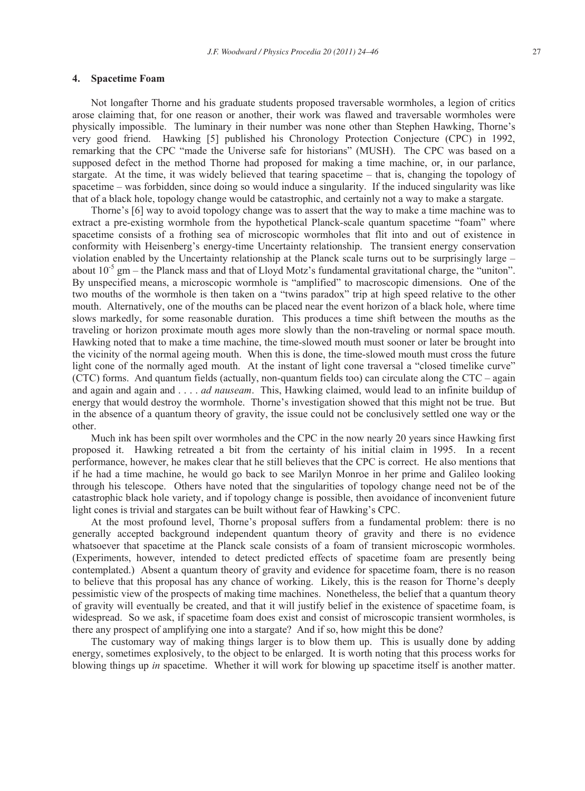#### **4. Spacetime Foam**

 Not longafter Thorne and his graduate students proposed traversable wormholes, a legion of critics arose claiming that, for one reason or another, their work was flawed and traversable wormholes were physically impossible. The luminary in their number was none other than Stephen Hawking, Thorne's very good friend. Hawking [5] published his Chronology Protection Conjecture (CPC) in 1992, remarking that the CPC "made the Universe safe for historians" (MUSH). The CPC was based on a supposed defect in the method Thorne had proposed for making a time machine, or, in our parlance, stargate. At the time, it was widely believed that tearing spacetime – that is, changing the topology of spacetime – was forbidden, since doing so would induce a singularity. If the induced singularity was like that of a black hole, topology change would be catastrophic, and certainly not a way to make a stargate.

 Thorne's [6] way to avoid topology change was to assert that the way to make a time machine was to extract a pre-existing wormhole from the hypothetical Planck-scale quantum spacetime "foam" where spacetime consists of a frothing sea of microscopic wormholes that flit into and out of existence in conformity with Heisenberg's energy-time Uncertainty relationship. The transient energy conservation violation enabled by the Uncertainty relationship at the Planck scale turns out to be surprisingly large – about  $10^{-5}$  gm – the Planck mass and that of Lloyd Motz's fundamental gravitational charge, the "uniton". By unspecified means, a microscopic wormhole is "amplified" to macroscopic dimensions. One of the two mouths of the wormhole is then taken on a "twins paradox" trip at high speed relative to the other mouth. Alternatively, one of the mouths can be placed near the event horizon of a black hole, where time slows markedly, for some reasonable duration. This produces a time shift between the mouths as the traveling or horizon proximate mouth ages more slowly than the non-traveling or normal space mouth. Hawking noted that to make a time machine, the time-slowed mouth must sooner or later be brought into the vicinity of the normal ageing mouth. When this is done, the time-slowed mouth must cross the future light cone of the normally aged mouth. At the instant of light cone traversal a "closed timelike curve" (CTC) forms. And quantum fields (actually, non-quantum fields too) can circulate along the CTC – again and again and again and . . . . *ad nauseam*. This, Hawking claimed, would lead to an infinite buildup of energy that would destroy the wormhole. Thorne's investigation showed that this might not be true. But in the absence of a quantum theory of gravity, the issue could not be conclusively settled one way or the other.

 Much ink has been spilt over wormholes and the CPC in the now nearly 20 years since Hawking first proposed it. Hawking retreated a bit from the certainty of his initial claim in 1995. In a recent performance, however, he makes clear that he still believes that the CPC is correct. He also mentions that if he had a time machine, he would go back to see Marilyn Monroe in her prime and Galileo looking through his telescope. Others have noted that the singularities of topology change need not be of the catastrophic black hole variety, and if topology change is possible, then avoidance of inconvenient future light cones is trivial and stargates can be built without fear of Hawking's CPC.

 At the most profound level, Thorne's proposal suffers from a fundamental problem: there is no generally accepted background independent quantum theory of gravity and there is no evidence whatsoever that spacetime at the Planck scale consists of a foam of transient microscopic wormholes. (Experiments, however, intended to detect predicted effects of spacetime foam are presently being contemplated.) Absent a quantum theory of gravity and evidence for spacetime foam, there is no reason to believe that this proposal has any chance of working. Likely, this is the reason for Thorne's deeply pessimistic view of the prospects of making time machines. Nonetheless, the belief that a quantum theory of gravity will eventually be created, and that it will justify belief in the existence of spacetime foam, is widespread. So we ask, if spacetime foam does exist and consist of microscopic transient wormholes, is there any prospect of amplifying one into a stargate? And if so, how might this be done?

 The customary way of making things larger is to blow them up. This is usually done by adding energy, sometimes explosively, to the object to be enlarged. It is worth noting that this process works for blowing things up *in* spacetime. Whether it will work for blowing up spacetime itself is another matter.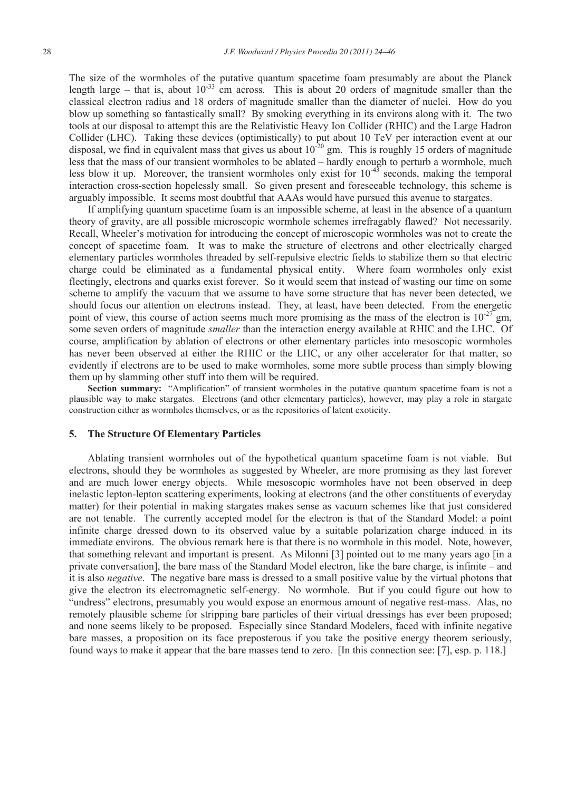The size of the wormholes of the putative quantum spacetime foam presumably are about the Planck length large – that is, about  $10^{-33}$  cm across. This is about 20 orders of magnitude smaller than the classical electron radius and 18 orders of magnitude smaller than the diameter of nuclei. How do you blow up something so fantastically small? By smoking everything in its environs along with it. The two tools at our disposal to attempt this are the Relativistic Heavy Ion Collider (RHIC) and the Large Hadron Collider (LHC). Taking these devices (optimistically) to put about 10 TeV per interaction event at our disposal, we find in equivalent mass that gives us about  $10^{-20}$  gm. This is roughly 15 orders of magnitude less that the mass of our transient wormholes to be ablated – hardly enough to perturb a wormhole, much less blow it up. Moreover, the transient wormholes only exist for  $10^{-43}$  seconds, making the temporal interaction cross-section hopelessly small. So given present and foreseeable technology, this scheme is arguably impossible. It seems most doubtful that AAAs would have pursued this avenue to stargates.

 If amplifying quantum spacetime foam is an impossible scheme, at least in the absence of a quantum theory of gravity, are all possible microscopic wormhole schemes irrefragably flawed? Not necessarily. Recall, Wheeler's motivation for introducing the concept of microscopic wormholes was not to create the concept of spacetime foam. It was to make the structure of electrons and other electrically charged elementary particles wormholes threaded by self-repulsive electric fields to stabilize them so that electric charge could be eliminated as a fundamental physical entity. Where foam wormholes only exist fleetingly, electrons and quarks exist forever. So it would seem that instead of wasting our time on some scheme to amplify the vacuum that we assume to have some structure that has never been detected, we should focus our attention on electrons instead. They, at least, have been detected. From the energetic point of view, this course of action seems much more promising as the mass of the electron is  $10^{-27}$  gm, some seven orders of magnitude *smaller* than the interaction energy available at RHIC and the LHC. Of course, amplification by ablation of electrons or other elementary particles into mesoscopic wormholes has never been observed at either the RHIC or the LHC, or any other accelerator for that matter, so evidently if electrons are to be used to make wormholes, some more subtle process than simply blowing them up by slamming other stuff into them will be required.

**Section summary:** "Amplification" of transient wormholes in the putative quantum spacetime foam is not a plausible way to make stargates. Electrons (and other elementary particles), however, may play a role in stargate construction either as wormholes themselves, or as the repositories of latent exoticity.

# **5. The Structure Of Elementary Particles**

 Ablating transient wormholes out of the hypothetical quantum spacetime foam is not viable. But electrons, should they be wormholes as suggested by Wheeler, are more promising as they last forever and are much lower energy objects. While mesoscopic wormholes have not been observed in deep inelastic lepton-lepton scattering experiments, looking at electrons (and the other constituents of everyday matter) for their potential in making stargates makes sense as vacuum schemes like that just considered are not tenable. The currently accepted model for the electron is that of the Standard Model: a point infinite charge dressed down to its observed value by a suitable polarization charge induced in its immediate environs. The obvious remark here is that there is no wormhole in this model. Note, however, that something relevant and important is present. As Milonni [3] pointed out to me many years ago [in a private conversation], the bare mass of the Standard Model electron, like the bare charge, is infinite – and it is also *negative*. The negative bare mass is dressed to a small positive value by the virtual photons that give the electron its electromagnetic self-energy. No wormhole. But if you could figure out how to "undress" electrons, presumably you would expose an enormous amount of negative rest-mass. Alas, no remotely plausible scheme for stripping bare particles of their virtual dressings has ever been proposed; and none seems likely to be proposed. Especially since Standard Modelers, faced with infinite negative bare masses, a proposition on its face preposterous if you take the positive energy theorem seriously, found ways to make it appear that the bare masses tend to zero. [In this connection see: [7], esp. p. 118.]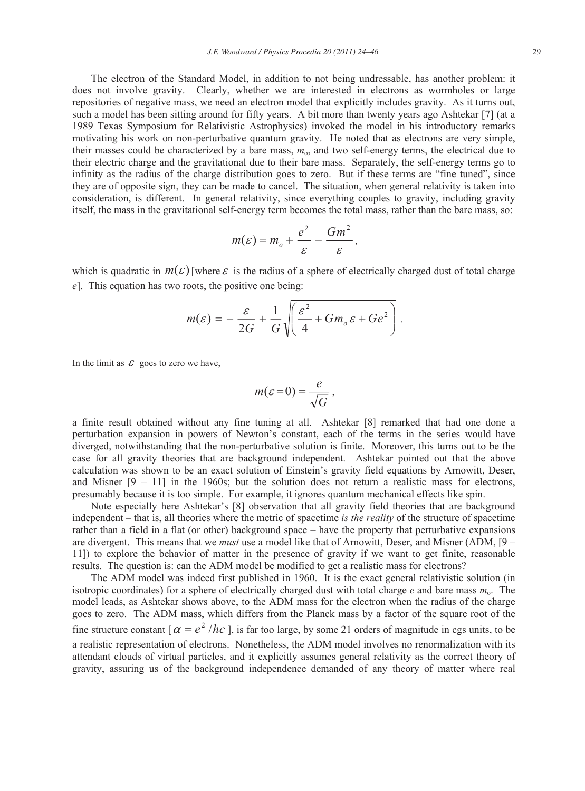The electron of the Standard Model, in addition to not being undressable, has another problem: it does not involve gravity. Clearly, whether we are interested in electrons as wormholes or large repositories of negative mass, we need an electron model that explicitly includes gravity. As it turns out, such a model has been sitting around for fifty years. A bit more than twenty years ago Ashtekar [7] (at a 1989 Texas Symposium for Relativistic Astrophysics) invoked the model in his introductory remarks motivating his work on non-perturbative quantum gravity. He noted that as electrons are very simple, their masses could be characterized by a bare mass, *m*o, and two self-energy terms, the electrical due to their electric charge and the gravitational due to their bare mass. Separately, the self-energy terms go to infinity as the radius of the charge distribution goes to zero. But if these terms are "fine tuned", since they are of opposite sign, they can be made to cancel. The situation, when general relativity is taken into consideration, is different. In general relativity, since everything couples to gravity, including gravity

$$
m(\varepsilon) = m_o + \frac{e^2}{\varepsilon} - \frac{Gm^2}{\varepsilon},
$$

itself, the mass in the gravitational self-energy term becomes the total mass, rather than the bare mass, so:

which is quadratic in  $m(\mathcal{E})$  [where  $\mathcal{E}$  is the radius of a sphere of electrically charged dust of total charge *e*]. This equation has two roots, the positive one being:

$$
m(\varepsilon) = -\frac{\varepsilon}{2G} + \frac{1}{G} \sqrt{\frac{\varepsilon^2}{4} + Gm_o \varepsilon + Ge^2}.
$$

In the limit as  $\mathcal E$  goes to zero we have,

$$
m(\varepsilon=0)=\frac{e}{\sqrt{G}}\,
$$

a finite result obtained without any fine tuning at all. Ashtekar [8] remarked that had one done a perturbation expansion in powers of Newton's constant, each of the terms in the series would have diverged, notwithstanding that the non-perturbative solution is finite. Moreover, this turns out to be the case for all gravity theories that are background independent. Ashtekar pointed out that the above calculation was shown to be an exact solution of Einstein's gravity field equations by Arnowitt, Deser, and Misner  $[9 - 11]$  in the 1960s; but the solution does not return a realistic mass for electrons, presumably because it is too simple. For example, it ignores quantum mechanical effects like spin.

 Note especially here Ashtekar's [8] observation that all gravity field theories that are background independent – that is, all theories where the metric of spacetime *is the reality* of the structure of spacetime rather than a field in a flat (or other) background space – have the property that perturbative expansions are divergent. This means that we *must* use a model like that of Arnowitt, Deser, and Misner (ADM, [9 – 11]) to explore the behavior of matter in the presence of gravity if we want to get finite, reasonable results. The question is: can the ADM model be modified to get a realistic mass for electrons?

 The ADM model was indeed first published in 1960. It is the exact general relativistic solution (in isotropic coordinates) for a sphere of electrically charged dust with total charge  $e$  and bare mass  $m_0$ . The model leads, as Ashtekar shows above, to the ADM mass for the electron when the radius of the charge goes to zero. The ADM mass, which differs from the Planck mass by a factor of the square root of the fine structure constant  $\left[\alpha - e^2/\hbar c\right]$ , is far too large, by some 21 orders of magnitude in cgs units, to be a realistic representation of electrons. Nonetheless, the ADM model involves no renormalization with its attendant clouds of virtual particles, and it explicitly assumes general relativity as the correct theory of gravity, assuring us of the background independence demanded of any theory of matter where real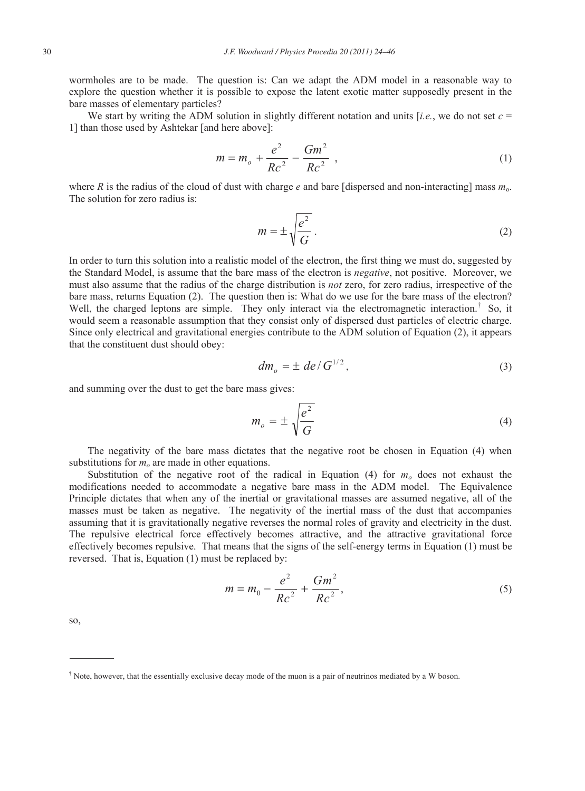wormholes are to be made. The question is: Can we adapt the ADM model in a reasonable way to explore the question whether it is possible to expose the latent exotic matter supposedly present in the bare masses of elementary particles?

We start by writing the ADM solution in slightly different notation and units  $[i.e., we do not set  $c =$$ 1] than those used by Ashtekar [and here above]:

$$
m = m_o + \frac{e^2}{Rc^2} - \frac{Gm^2}{Rc^2} \tag{1}
$$

where *R* is the radius of the cloud of dust with charge *e* and bare [dispersed and non-interacting] mass  $m_0$ . The solution for zero radius is:

$$
m = \pm \sqrt{\frac{e^2}{G}}.
$$
 (2)

In order to turn this solution into a realistic model of the electron, the first thing we must do, suggested by the Standard Model, is assume that the bare mass of the electron is *negative*, not positive. Moreover, we must also assume that the radius of the charge distribution is *not* zero, for zero radius, irrespective of the bare mass, returns Equation (2). The question then is: What do we use for the bare mass of the electron? Well, the charged leptons are simple. They only interact via the electromagnetic interaction.<sup>†</sup> So, it would seem a reasonable assumption that they consist only of dispersed dust particles of electric charge. Since only electrical and gravitational energies contribute to the ADM solution of Equation (2), it appears that the constituent dust should obey:

$$
dm_o = \pm de/G^{1/2},\tag{3}
$$

and summing over the dust to get the bare mass gives:

$$
m_o = \pm \sqrt{\frac{e^2}{G}} \tag{4}
$$

 The negativity of the bare mass dictates that the negative root be chosen in Equation (4) when substitutions for  $m<sub>o</sub>$  are made in other equations.

Substitution of the negative root of the radical in Equation (4) for  $m<sub>o</sub>$  does not exhaust the modifications needed to accommodate a negative bare mass in the ADM model. The Equivalence Principle dictates that when any of the inertial or gravitational masses are assumed negative, all of the masses must be taken as negative. The negativity of the inertial mass of the dust that accompanies assuming that it is gravitationally negative reverses the normal roles of gravity and electricity in the dust. The repulsive electrical force effectively becomes attractive, and the attractive gravitational force effectively becomes repulsive. That means that the signs of the self-energy terms in Equation (1) must be reversed. That is, Equation (1) must be replaced by:

$$
m = m_0 - \frac{e^2}{Rc^2} + \frac{Gm^2}{Rc^2},
$$
\n(5)

so,

<sup>†</sup> Note, however, that the essentially exclusive decay mode of the muon is a pair of neutrinos mediated by a W boson.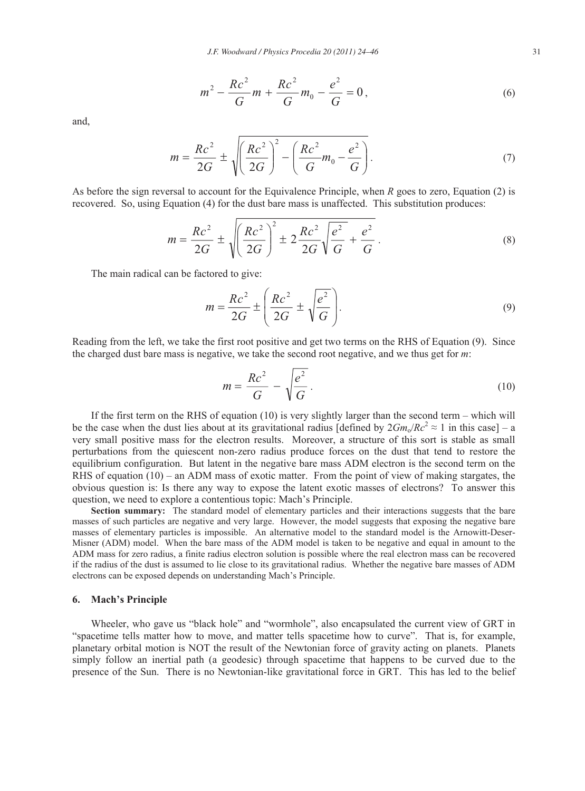$$
m^{2} - \frac{Rc^{2}}{G}m + \frac{Rc^{2}}{G}m_{0} - \frac{e^{2}}{G} = 0,
$$
\n(6)

and,

$$
m = \frac{Rc^2}{2G} \pm \sqrt{\left(\frac{Rc^2}{2G}\right)^2 - \left(\frac{Rc^2}{G}m_0 - \frac{e^2}{G}\right)}.
$$
 (7)

As before the sign reversal to account for the Equivalence Principle, when *R* goes to zero, Equation (2) is recovered. So, using Equation (4) for the dust bare mass is unaffected. This substitution produces:

$$
m = \frac{Rc^2}{2G} \pm \sqrt{\left(\frac{Rc^2}{2G}\right)^2 \pm 2\frac{Rc^2}{2G}\sqrt{\frac{e^2}{G}} + \frac{e^2}{G}}.
$$
 (8)

The main radical can be factored to give:

$$
m = \frac{Rc^2}{2G} \pm \left(\frac{Rc^2}{2G} \pm \sqrt{\frac{e^2}{G}}\right).
$$
\n<sup>(9)</sup>

Reading from the left, we take the first root positive and get two terms on the RHS of Equation (9). Since the charged dust bare mass is negative, we take the second root negative, and we thus get for *m*:

$$
m = \frac{Rc^2}{G} - \sqrt{\frac{e^2}{G}}.
$$
\n<sup>(10)</sup>

 If the first term on the RHS of equation (10) is very slightly larger than the second term – which will be the case when the dust lies about at its gravitational radius [defined by  $2Gm_0/RC^2 \approx 1$  in this case] – a very small positive mass for the electron results. Moreover, a structure of this sort is stable as small perturbations from the quiescent non-zero radius produce forces on the dust that tend to restore the equilibrium configuration. But latent in the negative bare mass ADM electron is the second term on the RHS of equation  $(10)$  – an ADM mass of exotic matter. From the point of view of making stargates, the obvious question is: Is there any way to expose the latent exotic masses of electrons? To answer this question, we need to explore a contentious topic: Mach's Principle.

 **Section summary:** The standard model of elementary particles and their interactions suggests that the bare masses of such particles are negative and very large. However, the model suggests that exposing the negative bare masses of elementary particles is impossible. An alternative model to the standard model is the Arnowitt-Deser-Misner (ADM) model. When the bare mass of the ADM model is taken to be negative and equal in amount to the ADM mass for zero radius, a finite radius electron solution is possible where the real electron mass can be recovered if the radius of the dust is assumed to lie close to its gravitational radius. Whether the negative bare masses of ADM electrons can be exposed depends on understanding Mach's Principle.

#### **6. Mach's Principle**

 Wheeler, who gave us "black hole" and "wormhole", also encapsulated the current view of GRT in "spacetime tells matter how to move, and matter tells spacetime how to curve". That is, for example, planetary orbital motion is NOT the result of the Newtonian force of gravity acting on planets. Planets simply follow an inertial path (a geodesic) through spacetime that happens to be curved due to the presence of the Sun. There is no Newtonian-like gravitational force in GRT. This has led to the belief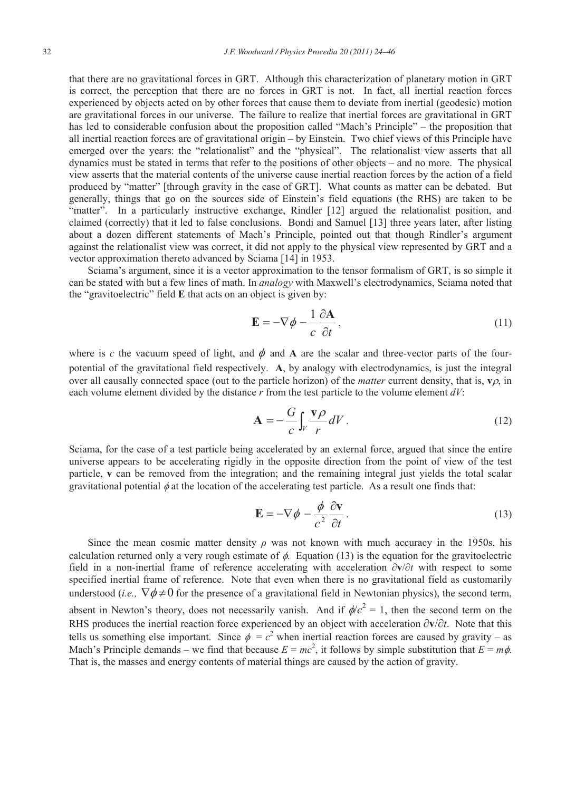that there are no gravitational forces in GRT. Although this characterization of planetary motion in GRT is correct, the perception that there are no forces in GRT is not. In fact, all inertial reaction forces experienced by objects acted on by other forces that cause them to deviate from inertial (geodesic) motion are gravitational forces in our universe. The failure to realize that inertial forces are gravitational in GRT has led to considerable confusion about the proposition called "Mach's Principle" – the proposition that all inertial reaction forces are of gravitational origin – by Einstein. Two chief views of this Principle have emerged over the years: the "relationalist" and the "physical". The relationalist view asserts that all dynamics must be stated in terms that refer to the positions of other objects – and no more. The physical view asserts that the material contents of the universe cause inertial reaction forces by the action of a field produced by "matter" [through gravity in the case of GRT]. What counts as matter can be debated. But generally, things that go on the sources side of Einstein's field equations (the RHS) are taken to be "matter". In a particularly instructive exchange, Rindler [12] argued the relationalist position, and claimed (correctly) that it led to false conclusions. Bondi and Samuel [13] three years later, after listing about a dozen different statements of Mach's Principle, pointed out that though Rindler's argument against the relationalist view was correct, it did not apply to the physical view represented by GRT and a vector approximation thereto advanced by Sciama [14] in 1953.

 Sciama's argument, since it is a vector approximation to the tensor formalism of GRT, is so simple it can be stated with but a few lines of math. In *analogy* with Maxwell's electrodynamics, Sciama noted that the "gravitoelectric" field **E** that acts on an object is given by:

$$
\mathbf{E} = -\nabla \phi - \frac{1}{c} \frac{\partial \mathbf{A}}{\partial t},\qquad(11)
$$

where is c the vacuum speed of light, and  $\phi$  and **A** are the scalar and three-vector parts of the fourpotential of the gravitational field respectively. **A**, by analogy with electrodynamics, is just the integral over all causally connected space (out to the particle horizon) of the *matter* current density, that is,  $v\rho$ , in each volume element divided by the distance *r* from the test particle to the volume element *dV*:

$$
\mathbf{A} = -\frac{G}{c} \int_{V} \frac{\mathbf{v}\rho}{r} dV \,. \tag{12}
$$

Sciama, for the case of a test particle being accelerated by an external force, argued that since the entire universe appears to be accelerating rigidly in the opposite direction from the point of view of the test particle, **v** can be removed from the integration; and the remaining integral just yields the total scalar gravitational potential  $\phi$  at the location of the accelerating test particle. As a result one finds that:

$$
\mathbf{E} = -\nabla \phi - \frac{\phi}{c^2} \frac{\partial \mathbf{v}}{\partial t}.
$$
 (13)

 Since the mean cosmic matter density *ȡ* was not known with much accuracy in the 1950s, his calculation returned only a very rough estimate of  $\phi$ . Equation (13) is the equation for the gravitoelectric field in a non-inertial frame of reference accelerating with acceleration  $\frac{\partial v}{\partial t}$  with respect to some specified inertial frame of reference. Note that even when there is no gravitational field as customarily understood (*i.e.*,  $\nabla \phi \neq 0$  for the presence of a gravitational field in Newtonian physics), the second term, absent in Newton's theory, does not necessarily vanish. And if  $\phi/c^2 = 1$ , then the second term on the RHS produces the inertial reaction force experienced by an object with acceleration  $\partial v/\partial t$ . Note that this tells us something else important. Since  $\phi = c^2$  when inertial reaction forces are caused by gravity – as Mach's Principle demands – we find that because  $E = mc^2$ , it follows by simple substitution that  $E = m\phi$ . That is, the masses and energy contents of material things are caused by the action of gravity.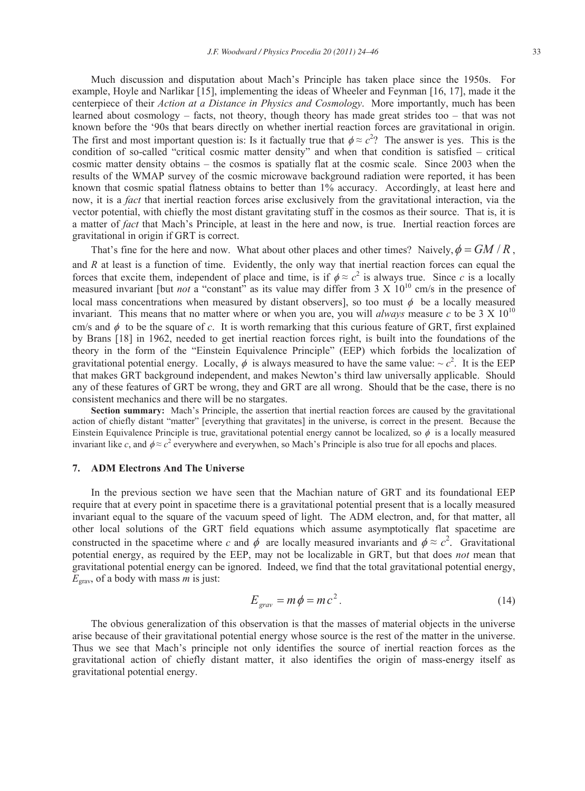Much discussion and disputation about Mach's Principle has taken place since the 1950s. For example, Hoyle and Narlikar [15], implementing the ideas of Wheeler and Feynman [16, 17], made it the centerpiece of their *Action at a Distance in Physics and Cosmology*. More importantly, much has been learned about cosmology – facts, not theory, though theory has made great strides too – that was not known before the '90s that bears directly on whether inertial reaction forces are gravitational in origin. The first and most important question is: Is it factually true that  $\phi \approx c^2$ ? The answer is yes. This is the condition of so-called "critical cosmic matter density" and when that condition is satisfied – critical cosmic matter density obtains – the cosmos is spatially flat at the cosmic scale. Since 2003 when the results of the WMAP survey of the cosmic microwave background radiation were reported, it has been known that cosmic spatial flatness obtains to better than 1% accuracy. Accordingly, at least here and now, it is a *fact* that inertial reaction forces arise exclusively from the gravitational interaction, via the vector potential, with chiefly the most distant gravitating stuff in the cosmos as their source. That is, it is a matter of *fact* that Mach's Principle, at least in the here and now, is true. Inertial reaction forces are gravitational in origin if GRT is correct.

That's fine for the here and now. What about other places and other times? Naively,  $\phi = GM/R$ , and *R* at least is a function of time. Evidently, the only way that inertial reaction forces can equal the forces that excite them, independent of place and time, is if  $\phi \approx c^2$  is always true. Since *c* is a locally measured invariant [but *not* a "constant" as its value may differ from 3 X 10<sup>10</sup> cm/s in the presence of local mass concentrations when measured by distant observers], so too must  $\phi$  be a locally measured invariant. This means that no matter where or when you are, you will *always* measure *c* to be 3 X  $10^{10}$ cm/s and  $\phi$  to be the square of *c*. It is worth remarking that this curious feature of GRT, first explained by Brans [18] in 1962, needed to get inertial reaction forces right, is built into the foundations of the theory in the form of the "Einstein Equivalence Principle" (EEP) which forbids the localization of gravitational potential energy. Locally,  $\phi$  is always measured to have the same value:  $\sim c^2$ . It is the EEP that makes GRT background independent, and makes Newton's third law universally applicable. Should any of these features of GRT be wrong, they and GRT are all wrong. Should that be the case, there is no consistent mechanics and there will be no stargates.

**Section summary:** Mach's Principle, the assertion that inertial reaction forces are caused by the gravitational action of chiefly distant "matter" [everything that gravitates] in the universe, is correct in the present. Because the Einstein Equivalence Principle is true, gravitational potential energy cannot be localized, so  $\phi$  is a locally measured invariant like *c*, and  $\phi \approx c^2$  everywhere and everywhen, so Mach's Principle is also true for all epochs and places.

# **7. ADM Electrons And The Universe**

 In the previous section we have seen that the Machian nature of GRT and its foundational EEP require that at every point in spacetime there is a gravitational potential present that is a locally measured invariant equal to the square of the vacuum speed of light. The ADM electron, and, for that matter, all other local solutions of the GRT field equations which assume asymptotically flat spacetime are constructed in the spacetime where *c* and  $\phi$  are locally measured invariants and  $\phi \approx c^2$ . Gravitational potential energy, as required by the EEP, may not be localizable in GRT, but that does *not* mean that gravitational potential energy can be ignored. Indeed, we find that the total gravitational potential energy,  $E_{grav}$ , of a body with mass *m* is just:

$$
E_{grav} = m\phi = mc^2.
$$
 (14)

 The obvious generalization of this observation is that the masses of material objects in the universe arise because of their gravitational potential energy whose source is the rest of the matter in the universe. Thus we see that Mach's principle not only identifies the source of inertial reaction forces as the gravitational action of chiefly distant matter, it also identifies the origin of mass-energy itself as gravitational potential energy.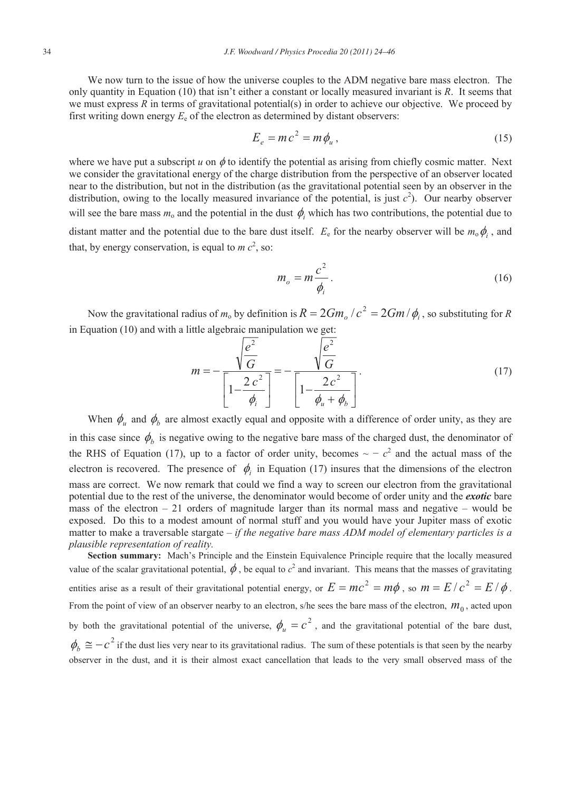We now turn to the issue of how the universe couples to the ADM negative bare mass electron. The only quantity in Equation (10) that isn't either a constant or locally measured invariant is *R*. It seems that we must express  $R$  in terms of gravitational potential(s) in order to achieve our objective. We proceed by first writing down energy *E*e of the electron as determined by distant observers:

$$
E_e = mc^2 = m\phi_u, \qquad (15)
$$

where we have put a subscript  $u$  on  $\phi$  to identify the potential as arising from chiefly cosmic matter. Next we consider the gravitational energy of the charge distribution from the perspective of an observer located near to the distribution, but not in the distribution (as the gravitational potential seen by an observer in the distribution, owing to the locally measured invariance of the potential, is just  $c^2$ ). Our nearby observer will see the bare mass  $m_0$  and the potential in the dust  $\phi_i$ , which has two contributions, the potential due to distant matter and the potential due to the bare dust itself.  $E_e$  for the nearby observer will be  $m_o\phi_i$ , and that, by energy conservation, is equal to  $m c<sup>2</sup>$ , so:

$$
m_o = m \frac{c^2}{\phi_i} \,. \tag{16}
$$

Now the gravitational radius of  $m_0$  by definition is  $R = 2Gm / c^2 = 2Gm / \phi_i$ , so substituting for *R* in Equation (10) and with a little algebraic manipulation we get:

$$
m = -\frac{\sqrt{\frac{e^{2}}{G}}}{\left[1 - \frac{2c^{2}}{\phi_{i}}\right]} = -\frac{\sqrt{\frac{e^{2}}{G}}}{\left[1 - \frac{2c^{2}}{\phi_{u} + \phi_{b}}\right]}.
$$
(17)

When  $\phi_u$  and  $\phi_b$  are almost exactly equal and opposite with a difference of order unity, as they are in this case since  $\phi$  is negative owing to the negative bare mass of the charged dust, the denominator of the RHS of Equation (17), up to a factor of order unity, becomes  $\sim -c^2$  and the actual mass of the electron is recovered. The presence of  $\phi$  in Equation (17) insures that the dimensions of the electron mass are correct. We now remark that could we find a way to screen our electron from the gravitational potential due to the rest of the universe, the denominator would become of order unity and the *exotic* bare mass of the electron  $-21$  orders of magnitude larger than its normal mass and negative – would be exposed. Do this to a modest amount of normal stuff and you would have your Jupiter mass of exotic matter to make a traversable stargate – *if the negative bare mass ADM model of elementary particles is a plausible representation of reality.*

 **Section summary:** Mach's Principle and the Einstein Equivalence Principle require that the locally measured value of the scalar gravitational potential,  $\phi$ , be equal to  $c^2$  and invariant. This means that the masses of gravitating entities arise as a result of their gravitational potential energy, or  $E = mc^2 = m\phi$ , so  $m = E/c^2 = E/\phi$ . From the point of view of an observer nearby to an electron, s/he sees the bare mass of the electron,  $m_0$ , acted upon by both the gravitational potential of the universe,  $\phi_u = c^2$ , and the gravitational potential of the bare dust,  $\phi_b \cong -c^2$  if the dust lies very near to its gravitational radius. The sum of these potentials is that seen by the nearby observer in the dust, and it is their almost exact cancellation that leads to the very small observed mass of the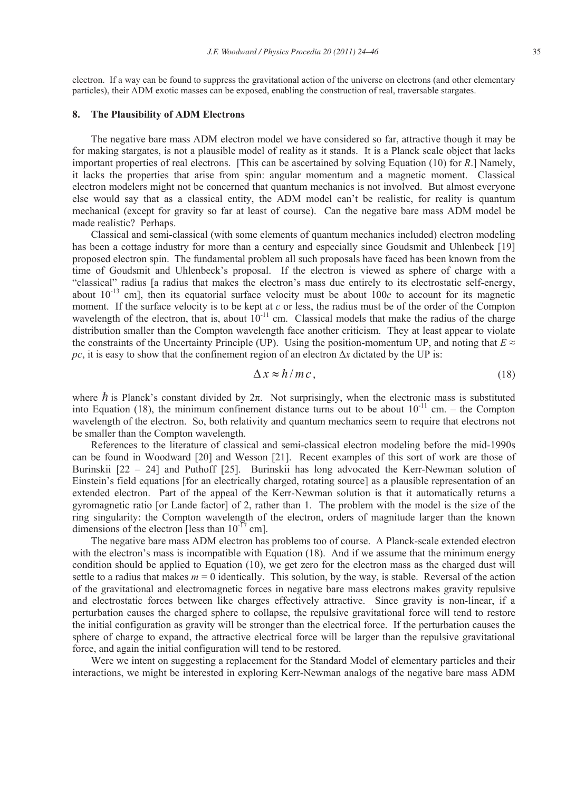electron. If a way can be found to suppress the gravitational action of the universe on electrons (and other elementary particles), their ADM exotic masses can be exposed, enabling the construction of real, traversable stargates.

# **8. The Plausibility of ADM Electrons**

 The negative bare mass ADM electron model we have considered so far, attractive though it may be for making stargates, is not a plausible model of reality as it stands. It is a Planck scale object that lacks important properties of real electrons. [This can be ascertained by solving Equation (10) for *R*.] Namely, it lacks the properties that arise from spin: angular momentum and a magnetic moment. Classical electron modelers might not be concerned that quantum mechanics is not involved. But almost everyone else would say that as a classical entity, the ADM model can't be realistic, for reality is quantum mechanical (except for gravity so far at least of course). Can the negative bare mass ADM model be made realistic? Perhaps.

 Classical and semi-classical (with some elements of quantum mechanics included) electron modeling has been a cottage industry for more than a century and especially since Goudsmit and Uhlenbeck [19] proposed electron spin. The fundamental problem all such proposals have faced has been known from the time of Goudsmit and Uhlenbeck's proposal. If the electron is viewed as sphere of charge with a "classical" radius [a radius that makes the electron's mass due entirely to its electrostatic self-energy, about 10-13 cm], then its equatorial surface velocity must be about 100*c* to account for its magnetic moment. If the surface velocity is to be kept at *c* or less, the radius must be of the order of the Compton wavelength of the electron, that is, about  $10^{-11}$  cm. Classical models that make the radius of the charge distribution smaller than the Compton wavelength face another criticism. They at least appear to violate the constraints of the Uncertainty Principle (UP). Using the position-momentum UP, and noting that  $E \approx$ *pc*, it is easy to show that the confinement region of an electron  $\Delta x$  dictated by the UP is:

$$
\Delta x \approx \hbar / mc, \qquad (18)
$$

where  $\hbar$  is Planck's constant divided by  $2\pi$ . Not surprisingly, when the electronic mass is substituted into Equation (18), the minimum confinement distance turns out to be about  $10^{-11}$  cm. – the Compton wavelength of the electron. So, both relativity and quantum mechanics seem to require that electrons not be smaller than the Compton wavelength.

 References to the literature of classical and semi-classical electron modeling before the mid-1990s can be found in Woodward [20] and Wesson [21]. Recent examples of this sort of work are those of Burinskii [22 – 24] and Puthoff [25]. Burinskii has long advocated the Kerr-Newman solution of Einstein's field equations [for an electrically charged, rotating source] as a plausible representation of an extended electron. Part of the appeal of the Kerr-Newman solution is that it automatically returns a gyromagnetic ratio [or Lande factor] of 2, rather than 1. The problem with the model is the size of the ring singularity: the Compton wavelength of the electron, orders of magnitude larger than the known dimensions of the electron [less than  $10^{-17}$  cm].

 The negative bare mass ADM electron has problems too of course. A Planck-scale extended electron with the electron's mass is incompatible with Equation (18). And if we assume that the minimum energy condition should be applied to Equation (10), we get zero for the electron mass as the charged dust will settle to a radius that makes  $m = 0$  identically. This solution, by the way, is stable. Reversal of the action of the gravitational and electromagnetic forces in negative bare mass electrons makes gravity repulsive and electrostatic forces between like charges effectively attractive. Since gravity is non-linear, if a perturbation causes the charged sphere to collapse, the repulsive gravitational force will tend to restore the initial configuration as gravity will be stronger than the electrical force. If the perturbation causes the sphere of charge to expand, the attractive electrical force will be larger than the repulsive gravitational force, and again the initial configuration will tend to be restored.

 Were we intent on suggesting a replacement for the Standard Model of elementary particles and their interactions, we might be interested in exploring Kerr-Newman analogs of the negative bare mass ADM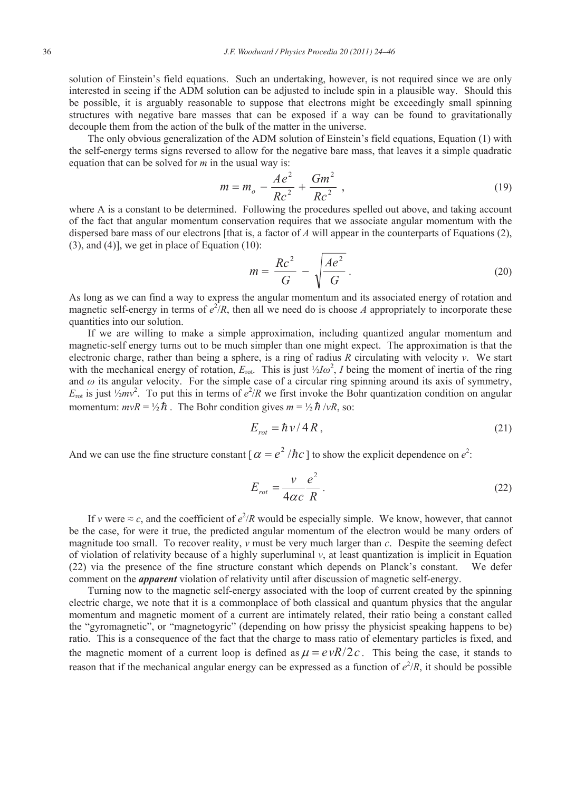solution of Einstein's field equations. Such an undertaking, however, is not required since we are only interested in seeing if the ADM solution can be adjusted to include spin in a plausible way. Should this be possible, it is arguably reasonable to suppose that electrons might be exceedingly small spinning structures with negative bare masses that can be exposed if a way can be found to gravitationally decouple them from the action of the bulk of the matter in the universe.

 The only obvious generalization of the ADM solution of Einstein's field equations, Equation (1) with the self-energy terms signs reversed to allow for the negative bare mass, that leaves it a simple quadratic equation that can be solved for *m* in the usual way is:

$$
m = m_o - \frac{Ae^2}{Rc^2} + \frac{Gm^2}{Rc^2} \tag{19}
$$

where A is a constant to be determined. Following the procedures spelled out above, and taking account of the fact that angular momentum conservation requires that we associate angular momentum with the dispersed bare mass of our electrons [that is, a factor of *A* will appear in the counterparts of Equations (2),  $(3)$ , and  $(4)$ ], we get in place of Equation  $(10)$ :

$$
m = \frac{Rc^2}{G} - \sqrt{\frac{Ae^2}{G}}.
$$
 (20)

As long as we can find a way to express the angular momentum and its associated energy of rotation and magnetic self-energy in terms of  $e^{2}/R$ , then all we need do is choose *A* appropriately to incorporate these quantities into our solution.

 If we are willing to make a simple approximation, including quantized angular momentum and magnetic-self energy turns out to be much simpler than one might expect. The approximation is that the electronic charge, rather than being a sphere, is a ring of radius *R* circulating with velocity *v*. We start with the mechanical energy of rotation,  $E_{\text{rot}}$ . This is just  $\frac{1}{2}I\omega^2$ , *I* being the moment of inertia of the ring and  $\omega$  its angular velocity. For the simple case of a circular ring spinning around its axis of symmetry,  $E_{\text{rot}}$  is just  $\frac{1}{2}mv^2$ . To put this in terms of  $e^2/R$  we first invoke the Bohr quantization condition on angular momentum:  $mvR = \frac{1}{2}\hbar$ . The Bohr condition gives  $m = \frac{1}{2}\hbar / vR$ , so:

$$
E_{rot} = \hbar v / 4R, \qquad (21)
$$

And we can use the fine structure constant  $\left[\alpha = e^2/\hbar c\right]$  to show the explicit dependence on  $e^2$ .

$$
E_{rot} = \frac{v}{4\alpha c} \frac{e^2}{R} \,. \tag{22}
$$

If *v* were  $\approx$  *c*, and the coefficient of  $e^2/R$  would be especially simple. We know, however, that cannot be the case, for were it true, the predicted angular momentum of the electron would be many orders of magnitude too small. To recover reality, *v* must be very much larger than *c*. Despite the seeming defect of violation of relativity because of a highly superluminal  $v$ , at least quantization is implicit in Equation (22) via the presence of the fine structure constant which depends on Planck's constant. We defer comment on the *apparent* violation of relativity until after discussion of magnetic self-energy.

 Turning now to the magnetic self-energy associated with the loop of current created by the spinning electric charge, we note that it is a commonplace of both classical and quantum physics that the angular momentum and magnetic moment of a current are intimately related, their ratio being a constant called the "gyromagnetic", or "magnetogyric" (depending on how prissy the physicist speaking happens to be) ratio. This is a consequence of the fact that the charge to mass ratio of elementary particles is fixed, and the magnetic moment of a current loop is defined as  $\mu = e\nu R/2c$ . This being the case, it stands to reason that if the mechanical angular energy can be expressed as a function of  $e^2/R$ , it should be possible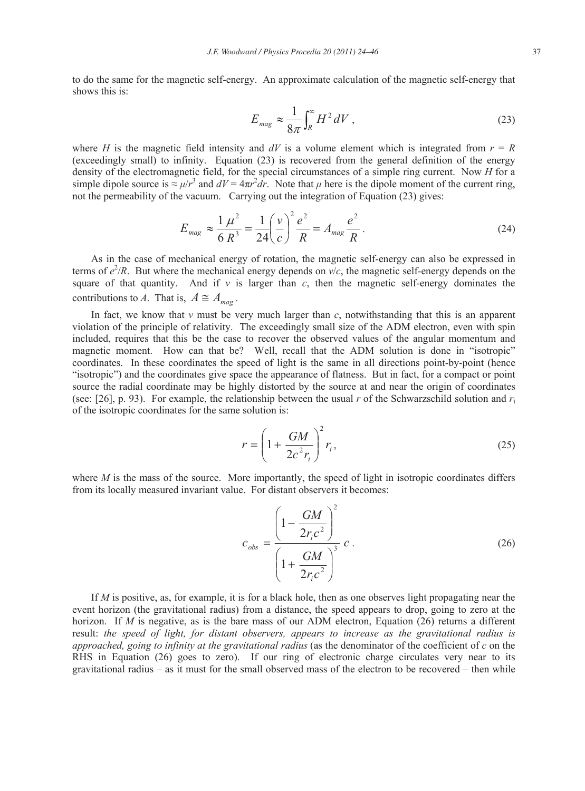to do the same for the magnetic self-energy. An approximate calculation of the magnetic self-energy that shows this is:

$$
E_{mag} \approx \frac{1}{8\pi} \int_{R}^{\infty} H^2 dV , \qquad (23)
$$

where *H* is the magnetic field intensity and  $dV$  is a volume element which is integrated from  $r = R$ (exceedingly small) to infinity. Equation (23) is recovered from the general definition of the energy density of the electromagnetic field, for the special circumstances of a simple ring current. Now *H* for a simple dipole source is  $\approx \mu/r^3$  and  $dV = 4\pi r^2 dr$ . Note that  $\mu$  here is the dipole moment of the current ring, not the permeability of the vacuum. Carrying out the integration of Equation (23) gives:

$$
E_{mag} \approx \frac{1}{6} \frac{\mu^2}{R^3} = \frac{1}{24} \left(\frac{v}{c}\right)^2 \frac{e^2}{R} = A_{mag} \frac{e^2}{R}.
$$
 (24)

 As in the case of mechanical energy of rotation, the magnetic self-energy can also be expressed in terms of  $e^2/R$ . But where the mechanical energy depends on  $v/c$ , the magnetic self-energy depends on the square of that quantity. And if  $\nu$  is larger than  $c$ , then the magnetic self-energy dominates the contributions to *A*. That is,  $A \cong A_{\text{mag}}$ .

In fact, we know that  $\nu$  must be very much larger than  $c$ , notwithstanding that this is an apparent violation of the principle of relativity. The exceedingly small size of the ADM electron, even with spin included, requires that this be the case to recover the observed values of the angular momentum and magnetic moment. How can that be? Well, recall that the ADM solution is done in "isotropic" coordinates. In these coordinates the speed of light is the same in all directions point-by-point (hence "isotropic") and the coordinates give space the appearance of flatness. But in fact, for a compact or point source the radial coordinate may be highly distorted by the source at and near the origin of coordinates (see: [26], p. 93). For example, the relationship between the usual *r* of the Schwarzschild solution and  $r_i$ of the isotropic coordinates for the same solution is:

$$
r = \left(1 + \frac{GM}{2c^2r_i}\right)^2 r_i,
$$
\n(25)

where *M* is the mass of the source. More importantly, the speed of light in isotropic coordinates differs from its locally measured invariant value. For distant observers it becomes:

$$
c_{obs} = \frac{\left(1 - \frac{GM}{2r_{i}c^{2}}\right)^{2}}{\left(1 + \frac{GM}{2r_{i}c^{2}}\right)^{3}} c.
$$
 (26)

 If *M* is positive, as, for example, it is for a black hole, then as one observes light propagating near the event horizon (the gravitational radius) from a distance, the speed appears to drop, going to zero at the horizon. If *M* is negative, as is the bare mass of our ADM electron, Equation (26) returns a different result: *the speed of light, for distant observers, appears to increase as the gravitational radius is approached, going to infinity at the gravitational radius* (as the denominator of the coefficient of *c* on the RHS in Equation (26) goes to zero). If our ring of electronic charge circulates very near to its gravitational radius – as it must for the small observed mass of the electron to be recovered – then while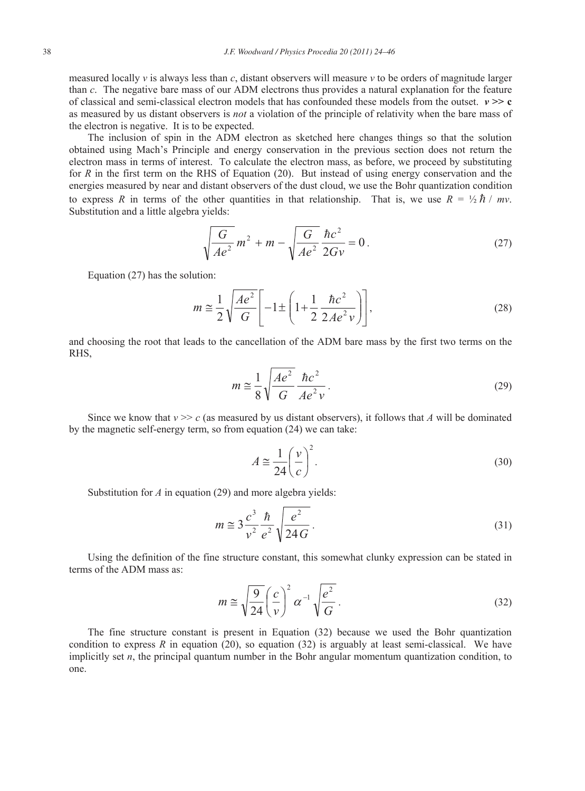measured locally  $\nu$  is always less than  $c$ , distant observers will measure  $\nu$  to be orders of magnitude larger than *c*. The negative bare mass of our ADM electrons thus provides a natural explanation for the feature of classical and semi-classical electron models that has confounded these models from the outset.  $v \gg c$ as measured by us distant observers is *not* a violation of the principle of relativity when the bare mass of the electron is negative. It is to be expected.

 The inclusion of spin in the ADM electron as sketched here changes things so that the solution obtained using Mach's Principle and energy conservation in the previous section does not return the electron mass in terms of interest. To calculate the electron mass, as before, we proceed by substituting for *R* in the first term on the RHS of Equation (20). But instead of using energy conservation and the energies measured by near and distant observers of the dust cloud, we use the Bohr quantization condition to express *R* in terms of the other quantities in that relationship. That is, we use  $R = \frac{1}{2}\hbar / mv$ . Substitution and a little algebra yields:

$$
\sqrt{\frac{G}{Ae^2}} m^2 + m - \sqrt{\frac{G}{Ae^2}} \frac{\hbar c^2}{2Gv} = 0.
$$
 (27)

Equation (27) has the solution:

$$
m \approx \frac{1}{2} \sqrt{\frac{Ae^2}{G}} \left[ -1 \pm \left( 1 + \frac{1}{2} \frac{\hbar c^2}{2Ae^2 v} \right) \right],
$$
 (28)

and choosing the root that leads to the cancellation of the ADM bare mass by the first two terms on the RHS,

$$
m \approx \frac{1}{8} \sqrt{\frac{Ae^2}{G}} \frac{\hbar c^2}{Ae^2 v}.
$$
 (29)

Since we know that  $v \gg c$  (as measured by us distant observers), it follows that *A* will be dominated by the magnetic self-energy term, so from equation (24) we can take:

$$
A \cong \frac{1}{24} \left(\frac{v}{c}\right)^2.
$$
 (30)

Substitution for *A* in equation (29) and more algebra yields:

$$
m \cong 3\frac{c^3}{v^2} \frac{\hbar}{e^2} \sqrt{\frac{e^2}{24G}}.
$$
\n(31)

 Using the definition of the fine structure constant, this somewhat clunky expression can be stated in terms of the ADM mass as:

$$
m \cong \sqrt{\frac{9}{24}} \left(\frac{c}{v}\right)^2 \alpha^{-1} \sqrt{\frac{e^2}{G}}.
$$
 (32)

 The fine structure constant is present in Equation (32) because we used the Bohr quantization condition to express *R* in equation (20), so equation (32) is arguably at least semi-classical. We have implicitly set *n*, the principal quantum number in the Bohr angular momentum quantization condition, to one.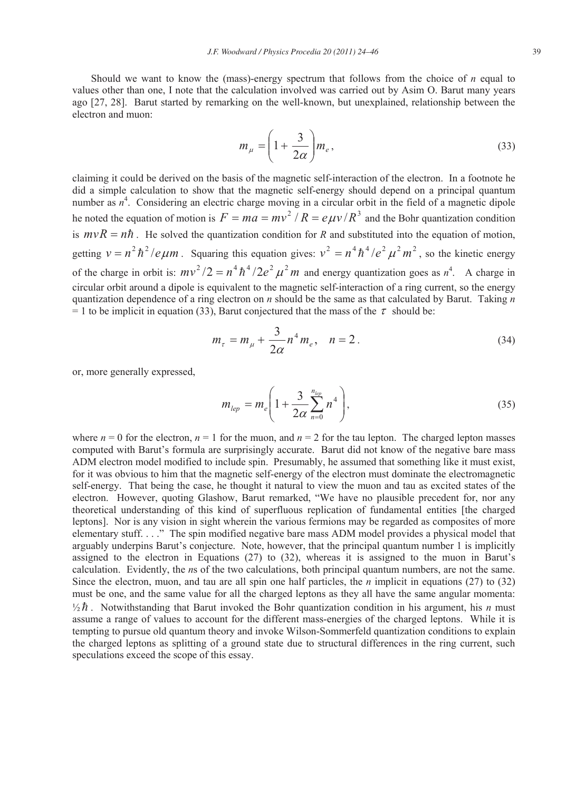Should we want to know the (mass)-energy spectrum that follows from the choice of *n* equal to values other than one, I note that the calculation involved was carried out by Asim O. Barut many years ago [27, 28]. Barut started by remarking on the well-known, but unexplained, relationship between the electron and muon:

$$
m_{\mu} = \left(1 + \frac{3}{2\alpha}\right) m_e, \tag{33}
$$

claiming it could be derived on the basis of the magnetic self-interaction of the electron. In a footnote he did a simple calculation to show that the magnetic self-energy should depend on a principal quantum number as  $n<sup>4</sup>$ . Considering an electric charge moving in a circular orbit in the field of a magnetic dipole he noted the equation of motion is  $F = ma = mv^2 / R = e \mu v / R^3$  and the Bohr quantization condition is  $mvR = n\hbar$ . He solved the quantization condition for *R* and substituted into the equation of motion, getting  $v = n^2 h^2/e \mu m$ . Squaring this equation gives:  $v^2 = n^4 h^4/e^2 \mu^2 m^2$ , so the kinetic energy of the charge in orbit is:  $mv^2/2 = n^4 \hbar^4/2e^2 \mu^2 m$  and energy quantization goes as  $n^4$ . A charge in circular orbit around a dipole is equivalent to the magnetic self-interaction of a ring current, so the energy quantization dependence of a ring electron on *n* should be the same as that calculated by Barut. Taking *n* = 1 to be implicit in equation (33), Barut conjectured that the mass of the  $\tau$  should be:

$$
m_{\tau} = m_{\mu} + \frac{3}{2\alpha} n^4 m_e, \quad n = 2.
$$
 (34)

or, more generally expressed,

$$
m_{lep} = m_e \left( 1 + \frac{3}{2\alpha} \sum_{n=0}^{n_{lep}} n^4 \right),
$$
 (35)

where  $n = 0$  for the electron,  $n = 1$  for the muon, and  $n = 2$  for the tau lepton. The charged lepton masses computed with Barut's formula are surprisingly accurate. Barut did not know of the negative bare mass ADM electron model modified to include spin. Presumably, he assumed that something like it must exist, for it was obvious to him that the magnetic self-energy of the electron must dominate the electromagnetic self-energy. That being the case, he thought it natural to view the muon and tau as excited states of the electron. However, quoting Glashow, Barut remarked, "We have no plausible precedent for, nor any theoretical understanding of this kind of superfluous replication of fundamental entities [the charged leptons]. Nor is any vision in sight wherein the various fermions may be regarded as composites of more elementary stuff. . . ." The spin modified negative bare mass ADM model provides a physical model that arguably underpins Barut's conjecture. Note, however, that the principal quantum number 1 is implicitly assigned to the electron in Equations (27) to (32), whereas it is assigned to the muon in Barut's calculation. Evidently, the *n*s of the two calculations, both principal quantum numbers, are not the same. Since the electron, muon, and tau are all spin one half particles, the *n* implicit in equations (27) to (32) must be one, and the same value for all the charged leptons as they all have the same angular momenta:  $\frac{1}{2}\hbar$ . Notwithstanding that Barut invoked the Bohr quantization condition in his argument, his *n* must assume a range of values to account for the different mass-energies of the charged leptons. While it is tempting to pursue old quantum theory and invoke Wilson-Sommerfeld quantization conditions to explain the charged leptons as splitting of a ground state due to structural differences in the ring current, such speculations exceed the scope of this essay.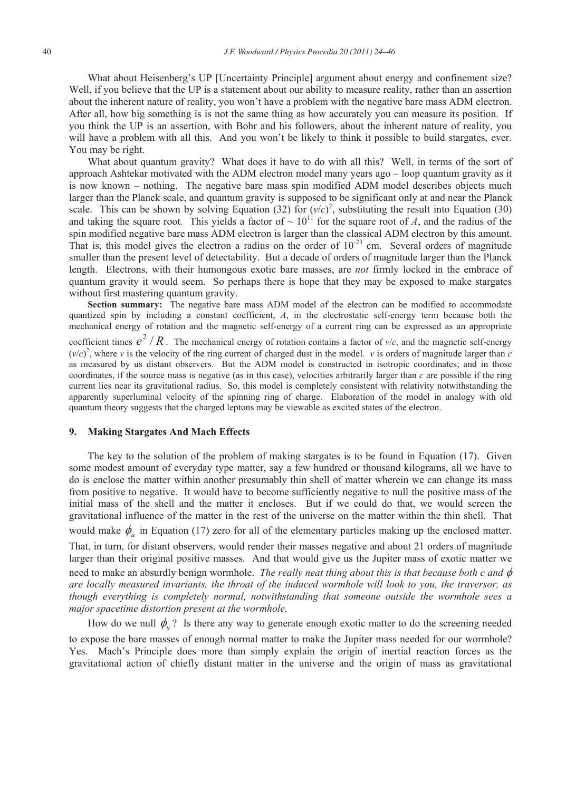What about Heisenberg's UP [Uncertainty Principle] argument about energy and confinement size? Well, if you believe that the UP is a statement about our ability to measure reality, rather than an assertion about the inherent nature of reality, you won't have a problem with the negative bare mass ADM electron. After all, how big something is is not the same thing as how accurately you can measure its position. If you think the UP is an assertion, with Bohr and his followers, about the inherent nature of reality, you will have a problem with all this. And you won't be likely to think it possible to build stargates, ever. You may be right.

 What about quantum gravity? What does it have to do with all this? Well, in terms of the sort of approach Ashtekar motivated with the ADM electron model many years ago – loop quantum gravity as it is now known – nothing. The negative bare mass spin modified ADM model describes objects much larger than the Planck scale, and quantum gravity is supposed to be significant only at and near the Planck scale. This can be shown by solving Equation (32) for  $(v/c)^2$ , substituting the result into Equation (30) and taking the square root. This yields a factor of  $\sim 10^{11}$  for the square root of *A*, and the radius of the spin modified negative bare mass ADM electron is larger than the classical ADM electron by this amount. That is, this model gives the electron a radius on the order of  $10^{-23}$  cm. Several orders of magnitude smaller than the present level of detectability. But a decade of orders of magnitude larger than the Planck length. Electrons, with their humongous exotic bare masses, are *not* firmly locked in the embrace of quantum gravity it would seem. So perhaps there is hope that they may be exposed to make stargates without first mastering quantum gravity.

 **Section summary:** The negative bare mass ADM model of the electron can be modified to accommodate quantized spin by including a constant coefficient, *A*, in the electrostatic self-energy term because both the mechanical energy of rotation and the magnetic self-energy of a current ring can be expressed as an appropriate coefficient times  $e^2/R$ . The mechanical energy of rotation contains a factor of  $v/c$ , and the magnetic self-energy  $(v/c)^2$ , where *v* is the velocity of the ring current of charged dust in the model. *v* is orders of magnitude larger than *c* as measured by us distant observers. But the ADM model is constructed in isotropic coordinates; and in those coordinates, if the source mass is negative (as in this case), velocities arbitrarily larger than *c* are possible if the ring current lies near its gravitational radius. So, this model is completely consistent with relativity notwithstanding the apparently superluminal velocity of the spinning ring of charge. Elaboration of the model in analogy with old quantum theory suggests that the charged leptons may be viewable as excited states of the electron.

#### **9. Making Stargates And Mach Effects**

 The key to the solution of the problem of making stargates is to be found in Equation (17). Given some modest amount of everyday type matter, say a few hundred or thousand kilograms, all we have to do is enclose the matter within another presumably thin shell of matter wherein we can change its mass from positive to negative. It would have to become sufficiently negative to null the positive mass of the initial mass of the shell and the matter it encloses. But if we could do that, we would screen the gravitational influence of the matter in the rest of the universe on the matter within the thin shell. That would make  $\phi_{\mu}$  in Equation (17) zero for all of the elementary particles making up the enclosed matter. That, in turn, for distant observers, would render their masses negative and about 21 orders of magnitude larger than their original positive masses. And that would give us the Jupiter mass of exotic matter we need to make an absurdly benign wormhole. *The really neat thing about this is that because both c and*  $\phi$ *are locally measured invariants, the throat of the induced wormhole will look to you, the traversor, as though everything is completely normal, notwithstanding that someone outside the wormhole sees a major spacetime distortion present at the wormhole.*

How do we null  $\phi_n$ ? Is there any way to generate enough exotic matter to do the screening needed to expose the bare masses of enough normal matter to make the Jupiter mass needed for our wormhole? Yes. Mach's Principle does more than simply explain the origin of inertial reaction forces as the gravitational action of chiefly distant matter in the universe and the origin of mass as gravitational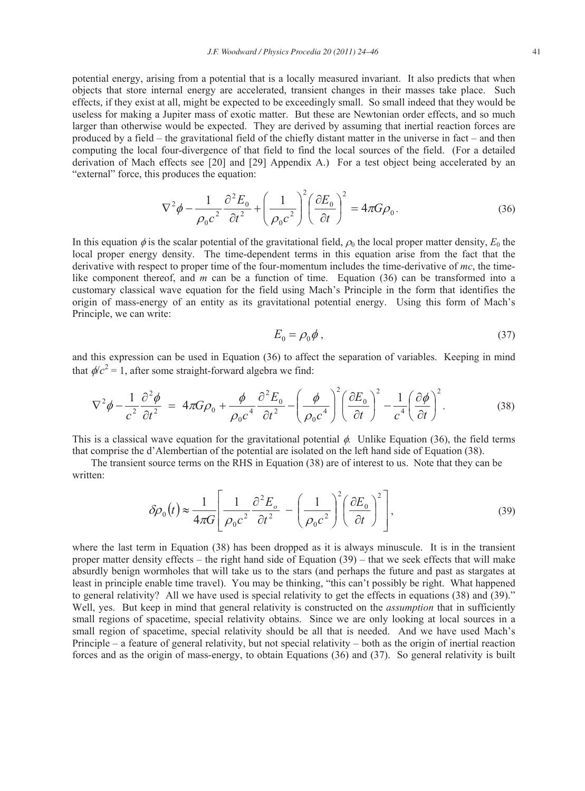potential energy, arising from a potential that is a locally measured invariant. It also predicts that when objects that store internal energy are accelerated, transient changes in their masses take place. Such effects, if they exist at all, might be expected to be exceedingly small. So small indeed that they would be useless for making a Jupiter mass of exotic matter. But these are Newtonian order effects, and so much larger than otherwise would be expected. They are derived by assuming that inertial reaction forces are produced by a field – the gravitational field of the chiefly distant matter in the universe in fact – and then computing the local four-divergence of that field to find the local sources of the field. (For a detailed derivation of Mach effects see [20] and [29] Appendix A.) For a test object being accelerated by an

"external" force, this produces the equation:

$$
\nabla^2 \phi - \frac{1}{\rho_0 c^2} \frac{\partial^2 E_0}{\partial t^2} + \left(\frac{1}{\rho_0 c^2}\right)^2 \left(\frac{\partial E_0}{\partial t}\right)^2 = 4\pi G \rho_0.
$$
 (36)

In this equation  $\phi$  is the scalar potential of the gravitational field,  $\rho_0$  the local proper matter density,  $E_0$  the local proper energy density. The time-dependent terms in this equation arise from the fact that the derivative with respect to proper time of the four-momentum includes the time-derivative of *mc*, the timelike component thereof, and *m* can be a function of time. Equation (36) can be transformed into a customary classical wave equation for the field using Mach's Principle in the form that identifies the origin of mass-energy of an entity as its gravitational potential energy. Using this form of Mach's Principle, we can write:

$$
E_0 = \rho_0 \phi \tag{37}
$$

and this expression can be used in Equation (36) to affect the separation of variables. Keeping in mind that  $\phi/c^2 = 1$ , after some straight-forward algebra we find:

$$
\nabla^2 \phi - \frac{1}{c^2} \frac{\partial^2 \phi}{\partial t^2} = 4\pi G \rho_0 + \frac{\phi}{\rho_0 c^4} \frac{\partial^2 E_0}{\partial t^2} - \left(\frac{\phi}{\rho_0 c^4}\right)^2 \left(\frac{\partial E_0}{\partial t}\right)^2 - \frac{1}{c^4} \left(\frac{\partial \phi}{\partial t}\right)^2.
$$
 (38)

This is a classical wave equation for the gravitational potential  $\phi$ . Unlike Equation (36), the field terms that comprise the d'Alembertian of the potential are isolated on the left hand side of Equation (38).

 The transient source terms on the RHS in Equation (38) are of interest to us. Note that they can be written:

$$
\delta \rho_0(t) \approx \frac{1}{4\pi G} \left[ \frac{1}{\rho_0 c^2} \frac{\partial^2 E_o}{\partial t^2} - \left( \frac{1}{\rho_0 c^2} \right)^2 \left( \frac{\partial E_0}{\partial t} \right)^2 \right],
$$
\n(39)

where the last term in Equation (38) has been dropped as it is always minuscule. It is in the transient proper matter density effects – the right hand side of Equation (39) – that we seek effects that will make absurdly benign wormholes that will take us to the stars (and perhaps the future and past as stargates at least in principle enable time travel). You may be thinking, "this can't possibly be right. What happened to general relativity? All we have used is special relativity to get the effects in equations (38) and (39)." Well, yes. But keep in mind that general relativity is constructed on the *assumption* that in sufficiently small regions of spacetime, special relativity obtains. Since we are only looking at local sources in a small region of spacetime, special relativity should be all that is needed. And we have used Mach's Principle – a feature of general relativity, but not special relativity – both as the origin of inertial reaction forces and as the origin of mass-energy, to obtain Equations (36) and (37). So general relativity is built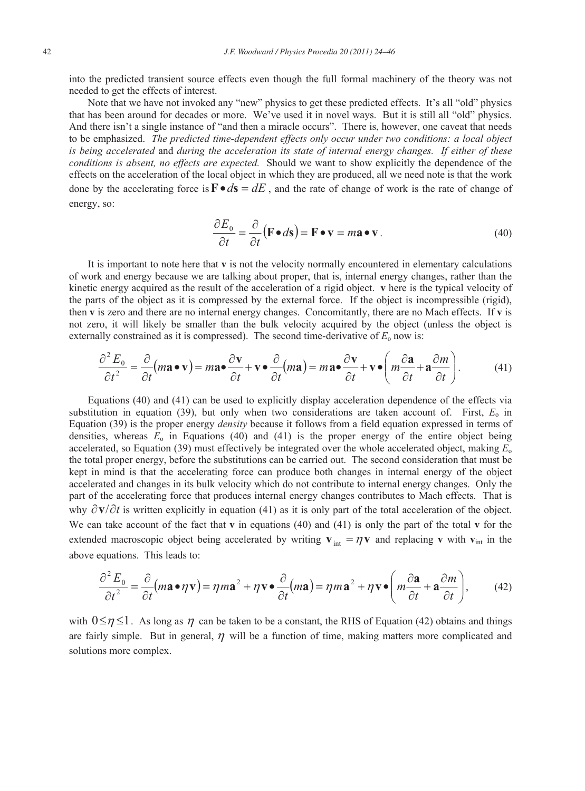into the predicted transient source effects even though the full formal machinery of the theory was not needed to get the effects of interest.

 Note that we have not invoked any "new" physics to get these predicted effects. It's all "old" physics that has been around for decades or more. We've used it in novel ways. But it is still all "old" physics. And there isn't a single instance of "and then a miracle occurs". There is, however, one caveat that needs to be emphasized. *The predicted time-dependent effects only occur under two conditions: a local object is being accelerated* and *during the acceleration its state of internal energy changes. If either of these conditions is absent, no effects are expected.* Should we want to show explicitly the dependence of the effects on the acceleration of the local object in which they are produced, all we need note is that the work done by the accelerating force is  $\mathbf{F} \cdot d\mathbf{s} = dE$ , and the rate of change of work is the rate of change of energy, so:

$$
\frac{\partial E_0}{\partial t} = \frac{\partial}{\partial t} (\mathbf{F} \bullet d\mathbf{s}) = \mathbf{F} \bullet \mathbf{v} = m\mathbf{a} \bullet \mathbf{v}.
$$
 (40)

 It is important to note here that **v** is not the velocity normally encountered in elementary calculations of work and energy because we are talking about proper, that is, internal energy changes, rather than the kinetic energy acquired as the result of the acceleration of a rigid object. **v** here is the typical velocity of the parts of the object as it is compressed by the external force. If the object is incompressible (rigid), then **v** is zero and there are no internal energy changes. Concomitantly, there are no Mach effects. If **v** is not zero, it will likely be smaller than the bulk velocity acquired by the object (unless the object is externally constrained as it is compressed). The second time-derivative of  $E_0$  now is:

$$
\frac{\partial^2 E_0}{\partial t^2} = \frac{\partial}{\partial t} (m\mathbf{a} \bullet \mathbf{v}) = m\mathbf{a} \bullet \frac{\partial \mathbf{v}}{\partial t} + \mathbf{v} \bullet \frac{\partial}{\partial t} (m\mathbf{a}) = m\mathbf{a} \bullet \frac{\partial \mathbf{v}}{\partial t} + \mathbf{v} \bullet \left( m\frac{\partial \mathbf{a}}{\partial t} + \mathbf{a} \frac{\partial m}{\partial t} \right).
$$
(41)

 Equations (40) and (41) can be used to explicitly display acceleration dependence of the effects via substitution in equation (39), but only when two considerations are taken account of. First,  $E_0$  in Equation (39) is the proper energy *density* because it follows from a field equation expressed in terms of densities, whereas  $E_0$  in Equations (40) and (41) is the proper energy of the entire object being accelerated, so Equation (39) must effectively be integrated over the whole accelerated object, making  $E_0$ the total proper energy, before the substitutions can be carried out. The second consideration that must be kept in mind is that the accelerating force can produce both changes in internal energy of the object accelerated and changes in its bulk velocity which do not contribute to internal energy changes. Only the part of the accelerating force that produces internal energy changes contributes to Mach effects. That is why  $\partial \mathbf{v}/\partial t$  is written explicitly in equation (41) as it is only part of the total acceleration of the object. We can take account of the fact that **v** in equations (40) and (41) is only the part of the total **v** for the extended macroscopic object being accelerated by writing  $\mathbf{v}_{\text{int}} = \eta \mathbf{v}$  and replacing **v** with  $\mathbf{v}_{\text{int}}$  in the above equations. This leads to:

$$
\frac{\partial^2 E_0}{\partial t^2} = \frac{\partial}{\partial t} (m\mathbf{a} \bullet \eta \mathbf{v}) = \eta m \mathbf{a}^2 + \eta \mathbf{v} \bullet \frac{\partial}{\partial t} (m\mathbf{a}) = \eta m \mathbf{a}^2 + \eta \mathbf{v} \bullet \left( m \frac{\partial \mathbf{a}}{\partial t} + \mathbf{a} \frac{\partial m}{\partial t} \right),\tag{42}
$$

with  $0 \le \eta \le 1$ . As long as  $\eta$  can be taken to be a constant, the RHS of Equation (42) obtains and things are fairly simple. But in general,  $\eta$  will be a function of time, making matters more complicated and solutions more complex.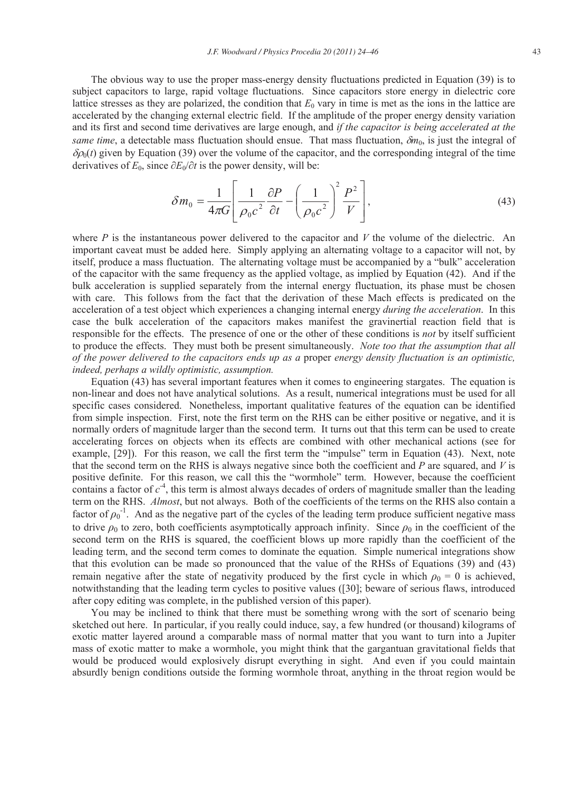The obvious way to use the proper mass-energy density fluctuations predicted in Equation (39) is to subject capacitors to large, rapid voltage fluctuations. Since capacitors store energy in dielectric core lattice stresses as they are polarized, the condition that *E*0 vary in time is met as the ions in the lattice are accelerated by the changing external electric field. If the amplitude of the proper energy density variation and its first and second time derivatives are large enough, and *if the capacitor is being accelerated at the same time*, a detectable mass fluctuation should ensue. That mass fluctuation,  $\delta m_0$ , is just the integral of  $\delta \rho_0(t)$  given by Equation (39) over the volume of the capacitor, and the corresponding integral of the time derivatives of  $E_0$ , since  $\partial E_0/\partial t$  is the power density, will be:

$$
\delta m_0 = \frac{1}{4\pi G} \left[ \frac{1}{\rho_0 c^2} \frac{\partial P}{\partial t} - \left( \frac{1}{\rho_0 c^2} \right)^2 \frac{P^2}{V} \right],\tag{43}
$$

where  $P$  is the instantaneous power delivered to the capacitor and  $V$  the volume of the dielectric. An important caveat must be added here. Simply applying an alternating voltage to a capacitor will not, by itself, produce a mass fluctuation. The alternating voltage must be accompanied by a "bulk" acceleration of the capacitor with the same frequency as the applied voltage, as implied by Equation (42). And if the bulk acceleration is supplied separately from the internal energy fluctuation, its phase must be chosen with care. This follows from the fact that the derivation of these Mach effects is predicated on the acceleration of a test object which experiences a changing internal energy *during the acceleration*. In this case the bulk acceleration of the capacitors makes manifest the gravinertial reaction field that is responsible for the effects. The presence of one or the other of these conditions is *not* by itself sufficient to produce the effects. They must both be present simultaneously. *Note too that the assumption that all of the power delivered to the capacitors ends up as a* proper *energy density fluctuation is an optimistic, indeed, perhaps a wildly optimistic, assumption.*

 Equation (43) has several important features when it comes to engineering stargates. The equation is non-linear and does not have analytical solutions. As a result, numerical integrations must be used for all specific cases considered. Nonetheless, important qualitative features of the equation can be identified from simple inspection. First, note the first term on the RHS can be either positive or negative, and it is normally orders of magnitude larger than the second term. It turns out that this term can be used to create accelerating forces on objects when its effects are combined with other mechanical actions (see for example, [29]). For this reason, we call the first term the "impulse" term in Equation (43). Next, note that the second term on the RHS is always negative since both the coefficient and *P* are squared, and *V* is positive definite. For this reason, we call this the "wormhole" term. However, because the coefficient contains a factor of  $c<sup>4</sup>$ , this term is almost always decades of orders of magnitude smaller than the leading term on the RHS. *Almost*, but not always. Both of the coefficients of the terms on the RHS also contain a factor of  $\rho_0^{-1}$ . And as the negative part of the cycles of the leading term produce sufficient negative mass to drive  $\rho_0$  to zero, both coefficients asymptotically approach infinity. Since  $\rho_0$  in the coefficient of the second term on the RHS is squared, the coefficient blows up more rapidly than the coefficient of the leading term, and the second term comes to dominate the equation. Simple numerical integrations show that this evolution can be made so pronounced that the value of the RHSs of Equations (39) and (43) remain negative after the state of negativity produced by the first cycle in which  $\rho_0 = 0$  is achieved, notwithstanding that the leading term cycles to positive values ([30]; beware of serious flaws, introduced after copy editing was complete, in the published version of this paper).

 You may be inclined to think that there must be something wrong with the sort of scenario being sketched out here. In particular, if you really could induce, say, a few hundred (or thousand) kilograms of exotic matter layered around a comparable mass of normal matter that you want to turn into a Jupiter mass of exotic matter to make a wormhole, you might think that the gargantuan gravitational fields that would be produced would explosively disrupt everything in sight. And even if you could maintain absurdly benign conditions outside the forming wormhole throat, anything in the throat region would be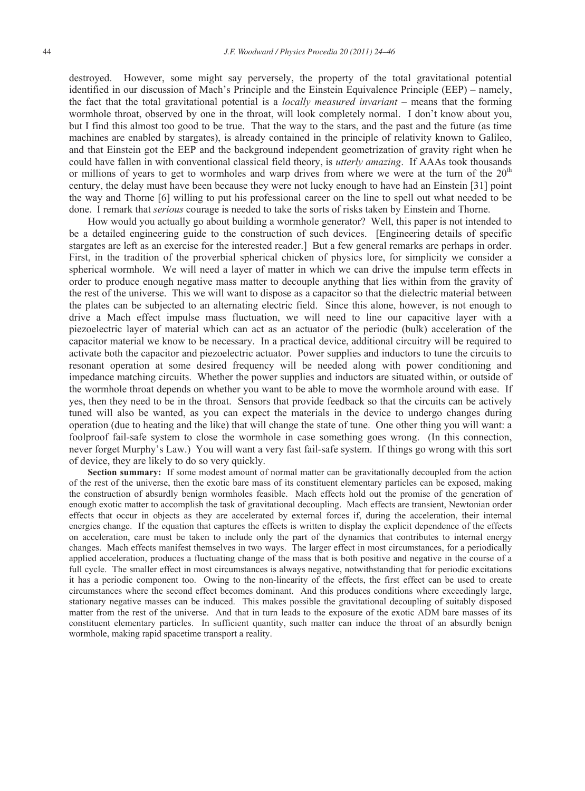destroyed. However, some might say perversely, the property of the total gravitational potential identified in our discussion of Mach's Principle and the Einstein Equivalence Principle (EEP) – namely, the fact that the total gravitational potential is a *locally measured invariant* – means that the forming wormhole throat, observed by one in the throat, will look completely normal. I don't know about you, but I find this almost too good to be true. That the way to the stars, and the past and the future (as time machines are enabled by stargates), is already contained in the principle of relativity known to Galileo, and that Einstein got the EEP and the background independent geometrization of gravity right when he could have fallen in with conventional classical field theory, is *utterly amazing*. If AAAs took thousands or millions of years to get to wormholes and warp drives from where we were at the turn of the  $20<sup>th</sup>$ century, the delay must have been because they were not lucky enough to have had an Einstein [31] point the way and Thorne [6] willing to put his professional career on the line to spell out what needed to be done. I remark that *serious* courage is needed to take the sorts of risks taken by Einstein and Thorne.

 How would you actually go about building a wormhole generator? Well, this paper is not intended to be a detailed engineering guide to the construction of such devices. [Engineering details of specific stargates are left as an exercise for the interested reader.] But a few general remarks are perhaps in order. First, in the tradition of the proverbial spherical chicken of physics lore, for simplicity we consider a spherical wormhole. We will need a layer of matter in which we can drive the impulse term effects in order to produce enough negative mass matter to decouple anything that lies within from the gravity of the rest of the universe. This we will want to dispose as a capacitor so that the dielectric material between the plates can be subjected to an alternating electric field. Since this alone, however, is not enough to drive a Mach effect impulse mass fluctuation, we will need to line our capacitive layer with a piezoelectric layer of material which can act as an actuator of the periodic (bulk) acceleration of the capacitor material we know to be necessary. In a practical device, additional circuitry will be required to activate both the capacitor and piezoelectric actuator. Power supplies and inductors to tune the circuits to resonant operation at some desired frequency will be needed along with power conditioning and impedance matching circuits. Whether the power supplies and inductors are situated within, or outside of the wormhole throat depends on whether you want to be able to move the wormhole around with ease. If yes, then they need to be in the throat. Sensors that provide feedback so that the circuits can be actively tuned will also be wanted, as you can expect the materials in the device to undergo changes during operation (due to heating and the like) that will change the state of tune. One other thing you will want: a foolproof fail-safe system to close the wormhole in case something goes wrong. (In this connection, never forget Murphy's Law.) You will want a very fast fail-safe system. If things go wrong with this sort of device, they are likely to do so very quickly.

 **Section summary:** If some modest amount of normal matter can be gravitationally decoupled from the action of the rest of the universe, then the exotic bare mass of its constituent elementary particles can be exposed, making the construction of absurdly benign wormholes feasible. Mach effects hold out the promise of the generation of enough exotic matter to accomplish the task of gravitational decoupling. Mach effects are transient, Newtonian order effects that occur in objects as they are accelerated by external forces if, during the acceleration, their internal energies change. If the equation that captures the effects is written to display the explicit dependence of the effects on acceleration, care must be taken to include only the part of the dynamics that contributes to internal energy changes. Mach effects manifest themselves in two ways. The larger effect in most circumstances, for a periodically applied acceleration, produces a fluctuating change of the mass that is both positive and negative in the course of a full cycle. The smaller effect in most circumstances is always negative, notwithstanding that for periodic excitations it has a periodic component too. Owing to the non-linearity of the effects, the first effect can be used to create circumstances where the second effect becomes dominant. And this produces conditions where exceedingly large, stationary negative masses can be induced. This makes possible the gravitational decoupling of suitably disposed matter from the rest of the universe. And that in turn leads to the exposure of the exotic ADM bare masses of its constituent elementary particles. In sufficient quantity, such matter can induce the throat of an absurdly benign wormhole, making rapid spacetime transport a reality.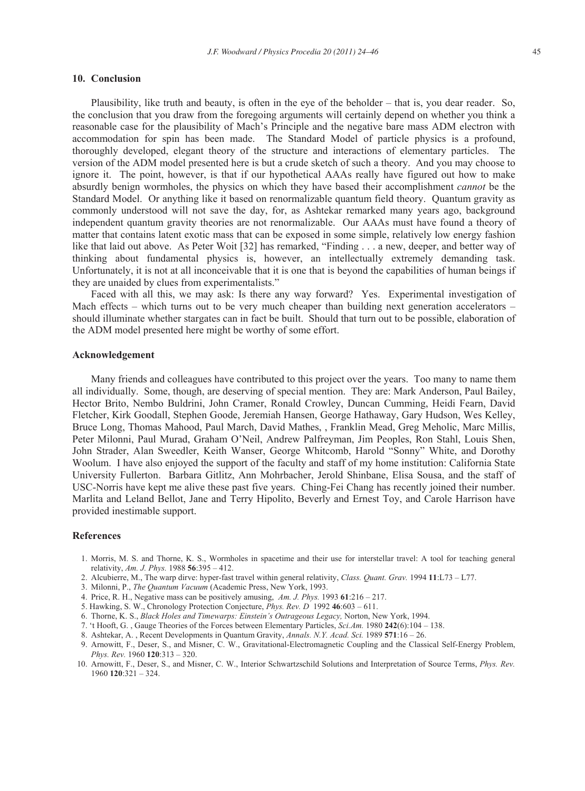#### **10. Conclusion**

 Plausibility, like truth and beauty, is often in the eye of the beholder – that is, you dear reader. So, the conclusion that you draw from the foregoing arguments will certainly depend on whether you think a reasonable case for the plausibility of Mach's Principle and the negative bare mass ADM electron with accommodation for spin has been made. The Standard Model of particle physics is a profound, thoroughly developed, elegant theory of the structure and interactions of elementary particles. The version of the ADM model presented here is but a crude sketch of such a theory. And you may choose to ignore it. The point, however, is that if our hypothetical AAAs really have figured out how to make absurdly benign wormholes, the physics on which they have based their accomplishment *cannot* be the Standard Model. Or anything like it based on renormalizable quantum field theory. Quantum gravity as commonly understood will not save the day, for, as Ashtekar remarked many years ago, background independent quantum gravity theories are not renormalizable. Our AAAs must have found a theory of matter that contains latent exotic mass that can be exposed in some simple, relatively low energy fashion like that laid out above. As Peter Woit [32] has remarked, "Finding . . . a new, deeper, and better way of thinking about fundamental physics is, however, an intellectually extremely demanding task. Unfortunately, it is not at all inconceivable that it is one that is beyond the capabilities of human beings if they are unaided by clues from experimentalists."

 Faced with all this, we may ask: Is there any way forward? Yes. Experimental investigation of Mach effects – which turns out to be very much cheaper than building next generation accelerators – should illuminate whether stargates can in fact be built. Should that turn out to be possible, elaboration of the ADM model presented here might be worthy of some effort.

#### **Acknowledgement**

 Many friends and colleagues have contributed to this project over the years. Too many to name them all individually. Some, though, are deserving of special mention. They are: Mark Anderson, Paul Bailey, Hector Brito, Nembo Buldrini, John Cramer, Ronald Crowley, Duncan Cumming, Heidi Fearn, David Fletcher, Kirk Goodall, Stephen Goode, Jeremiah Hansen, George Hathaway, Gary Hudson, Wes Kelley, Bruce Long, Thomas Mahood, Paul March, David Mathes, , Franklin Mead, Greg Meholic, Marc Millis, Peter Milonni, Paul Murad, Graham O'Neil, Andrew Palfreyman, Jim Peoples, Ron Stahl, Louis Shen, John Strader, Alan Sweedler, Keith Wanser, George Whitcomb, Harold "Sonny" White, and Dorothy Woolum. I have also enjoyed the support of the faculty and staff of my home institution: California State University Fullerton. Barbara Gitlitz, Ann Mohrbacher, Jerold Shinbane, Elisa Sousa, and the staff of USC-Norris have kept me alive these past five years. Ching-Fei Chang has recently joined their number. Marlita and Leland Bellot, Jane and Terry Hipolito, Beverly and Ernest Toy, and Carole Harrison have provided inestimable support.

#### **References**

- 1. Morris, M. S. and Thorne, K. S., Wormholes in spacetime and their use for interstellar travel: A tool for teaching general relativity, *Am. J. Phys.* 1988 **56**:395 – 412.
- 2. Alcubierre, M., The warp dirve: hyper-fast travel within general relativity, *Class. Quant. Grav.* 1994 **11**:L73 L77.
- 3. Milonni, P., *The Quantum Vacuum* (Academic Press, New York, 1993.
- 4. Price, R. H., Negative mass can be positively amusing, *Am. J. Phys.* 1993 **61**:216 217.
- 5. Hawking, S. W., Chronology Protection Conjecture, *Phys. Rev. D* 1992 **46**:603 611.
- 6. Thorne, K. S., *Black Holes and Timewarps: Einstein's Outrageous Legacy,* Norton, New York, 1994.
- 7. 't Hooft, G. , Gauge Theories of the Forces between Elementary Particles, *Sci.Am.* 1980 **242**(6):104 138.
- 8. Ashtekar, A. , Recent Developments in Quantum Gravity, *Annals. N.Y. Acad. Sci.* 1989 **571**:16 26.
- 9. Arnowitt, F., Deser, S., and Misner, C. W., Gravitational-Electromagnetic Coupling and the Classical Self-Energy Problem, *Phys. Rev.* 1960 **120**:313 – 320.
- 10. Arnowitt, F., Deser, S., and Misner, C. W., Interior Schwartzschild Solutions and Interpretation of Source Terms, *Phys. Rev.*  1960 **120**:321 – 324.